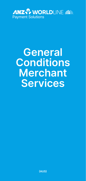

# **General Conditions Merchant Services**

**(AUS)**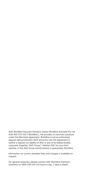ANZ Worldline Payment Solutions means Worldline Australia Pty Ltd ACN 645 073 034 ("Worldline"), the provider of merchant solutions under the Merchant Agreement. Worldline is not an authorised deposit taking institution (ADI) and entry into the Agreement is neither a deposit nor liability of ANZ or any of its related bodies corporate (together "ANZ Group"). Neither ANZ nor any other member of the ANZ Group stands behind or guarantees Worldline.

Information on current standard fees and charges is available on request.

For general enquiries, please contact ANZ Worldline Payment Solutions on 1800 039 025 (24 hours a day, 7 days a week)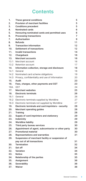# **Contents**

| 1.   | These general conditions                            | 5  |
|------|-----------------------------------------------------|----|
| 2.   | <b>Provision of merchant facilities</b>             | 5  |
| 3.   | <b>Conditions precedent</b>                         | 5  |
| 4.   | <b>Nominated cards</b>                              | 6  |
| 5.   | Honouring nominated cards and permitted uses        | 6  |
| 6.   | <b>Processing transactions</b>                      | 7  |
| 7.   | Authorisation                                       | 9  |
| 8.   | <b>Refunds</b>                                      | 11 |
| 9.   | <b>Transaction information</b>                      | 12 |
| 10.  | <b>Settlement of transactions</b>                   | 12 |
| 11.  | <b>Invalid transactions</b>                         | 14 |
| 12.  | Chargeback                                          | 16 |
| 13.  | <b>Merchant accounts</b>                            | 16 |
| 13.1 | Merchant account                                    | 16 |
| 13.2 | Retention account                                   | 17 |
| 14.  | Information collection, storage and disclosure      | 18 |
| 14.1 | General                                             | 18 |
| 14.2 | Nominated card scheme obligations                   | 19 |
| 14.3 | Privacy, confidentiality and use of information     | 20 |
| 15.  | Audit                                               | 23 |
| 16.  | Fees, charges, other payments and GST               | 23 |
| 16A. | GST                                                 | 24 |
| 17.  | <b>Merchant websites</b>                            | 25 |
| 18.  | <b>Electronic terminals</b>                         | 26 |
| 18.1 | General                                             | 26 |
| 18.2 | Electronic terminals supplied by Worldline          | 27 |
| 18.3 | Electronic terminals not supplied by Worldline      | 27 |
| 19.  | Electronic terminals and card imprinters - security | 28 |
| 20.  | Merchant operating guides                           | 28 |
| 21.  | <b>Training</b>                                     | 28 |
| 22.  | Supply of card imprinters and stationery            | 29 |
| 23.  | Indemnity                                           | 29 |
| 24.  | <b>Worldline liability</b>                          | 29 |
| 25.  | Third party bureau services                         | 30 |
| 26.  | Appointment of agent, subcontractor or other party  | 30 |
| 27.  | <b>Promotional material</b>                         | 30 |
| 28.  | <b>Representations and warranties</b>               | 31 |
| 29.  | Suspension of merchant facility or suspension of    |    |
|      | pay out of all transactions                         | 31 |
| 30.  | <b>Termination</b>                                  | 32 |
| 31.  | Set off                                             | 34 |
| 32.  | Variation                                           | 34 |
| 33.  | <b>Notice</b>                                       | 35 |
| 34.  | Relationship of the parties                         | 35 |
| 35.  | Assignment                                          | 36 |
| 36.  | Severability                                        | 36 |
| 37.  | Waiver                                              | 36 |
|      |                                                     |    |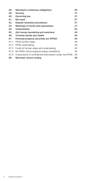| 38.  | Merchant's continuous obligations                       | 36 |
|------|---------------------------------------------------------|----|
| 39.  | Security                                                | 37 |
| 40.  | Governing law                                           | 37 |
| 41.  | Not used                                                | 37 |
| 42.  | <b>Dispute resolution procedures</b>                    | 37 |
| 43.  | Meanings of words and expressions                       | 37 |
| 44.  | Interpretation                                          | 42 |
| 45.  | Anti money laundering and sanctions                     | 43 |
| 46.  | <b>Terminal stands and cables</b>                       | 44 |
| 47.  | Personal property securities act (PPSA)                 | 45 |
| 47.1 | PPSA further steps                                      | 45 |
| 47.2 | PPSA undertaking                                        | 45 |
| 47.3 | Costs of further steps and undertaking                  | 45 |
| 47.4 | No PPSA notice required unless mandatory                | 45 |
| 47.5 | 5 disclosure of confidential information under the PPSA | 45 |
| 48.  | Merchant choice routing                                 | 46 |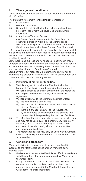# <span id="page-4-0"></span>**1. These general conditions**

These General Conditions are part of your Merchant Agreement with Worldline.

The Merchant Agreement **("Agreement")** consists of:

- Order Form:
- (ii) General Conditions;
- (iii) Secure Internet Site Declaration (where applicable) and Merchant Prepayment Exposure Declaration (where applicable);
- (iv) all applicable Terminal Guides;
- (v) any Special Conditions set out in the Order Form or otherwise agreed in writing by the Merchant and Worldline to be Special Conditions as varied from time to time in accordance with these General Conditions; and

(vi) any documents relating to the Security (where applicable). It is advisable that the Merchant reads all documents comprising the terms and conditions under which the Merchant Facilities are provided by Worldline.

Some words and expressions have special meanings in these General Conditions. The meanings are described in Condition 43 and when the Merchant is reading these General Conditions, the Merchant should refer to Conditions 43 and 44.

Each party must act reasonably in determining any matter or exercising any discretion or contractual right or power, under or in connection with the Merchant Agreement.

#### **2. Provision of merchant facilities**

- (i) Worldline agrees to provide the Merchant with the Merchant Facilities in accordance with the Agreement. Worldline agrees to do this in exchange for the Merchant carrying out the Merchant's obligations under the Agreement.
- (ii) Worldline will provide the Merchant Facilities unless:
	- (a) the Agreement is terminated;
	- (b) the Merchant Facilities are suspended in accordance with the Agreement; or
	- (c) there is a change in Law or to the regulations, by-laws or rules of a Nominated Card Scheme that prevents Worldline providing the Merchant Facilities.
- (iii) The Merchant Facilities may only be used by the Merchant and may not be used by, or on behalf of, any third party (including any associated company or related body corporate of the Merchant), without the prior written authorisation of Worldline.
- (iv) The Merchant Facilities may only be used within Australia, unless specifically authorised under the Nominated Card Scheme rules.

# **3. Conditions precedent**

Worldline's obligation to make any of the Merchant Facilities available to the Merchant is conditional on Worldline being satisfied that:

- (i) the Merchant has accepted Worldline's offer in accordance with the method of acceptance required by Worldline in the Order Form;
- (ii) except for the ANZ Transferred Merchants, Worldline has received a properly completed periodical direct debit authority in favour of ANZ if the Merchant Account is held with another financial institution;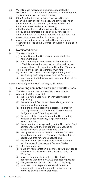- <span id="page-5-0"></span>(iii) Worldline has received all documents requested by Worldline in the Order Form or otherwise at the time of the application for the Merchant Facilities;
- (iv) if the Merchant is a trustee of a trust, Worldline has received a copy of the trust deed, and any variations or amendments to the trust deed, each certified to be a complete, correct and up-to-date copy;
- (v) if the Merchant is a partnership, Worldline has received a copy of the partnership deed and any variations or amendments to the partnership deed, each certified to be a complete, correct and up-to-date copy; and
- (vi) any other conditions set out in the Order Form or as otherwise advised to the Merchant by Worldline have been fulfilled.

# **4. Nominated cards**

- (i) The Merchant must:
	- (a) accept Nominated Cards in accordance with the Agreement; and
	- (b) stop accepting a Nominated Card immediately if: – Worldline gives the Merchant a notice to do so; or – any of the events described in Condition 2(ii) occur.
- (ii) To remove any doubt the Merchant must not:
	- (a) accept a Nominated Card as payment for goods or services by mail, telephone or Internet Order; or
	- (b) take Cardholder details via mail, telephone, facsimile or the Internet,

unless specifically authorised in writing by Worldline.

#### **5. Honouring nominated cards and permitted uses**

- (i) The Merchant must accept valid Nominated Cards.<br>(ii) A Nominated Card is valid if:
	- A Nominated Card is valid if:
		- (a) the Nominated Card has current validity date (if applicable);
			- (b) the Nominated Card has not been visibly altered or tampered with in any way;
			- (c) it is signed on the back in the designated area for card signatures (if the Nominated Card contains a designated area for card signature);
			- (d) the name of the Cardholder and the Card number whether or not embossed, are printed on the Nominated Card;
			- (e) the account number appearing on the Nominated Card corresponds with the number printed, encoded or otherwise shown on the Nominated Card;
			- (f) the signature on the Nominated Card has not been altered or defaced (if the Nominated Card contains a designated area for card signature); and
			- (g) the Nominated Card meets each of the criteria for validity set out in the relevant Terminal Guides.
- (iii) The Merchant must not:
	- (a) make any representation in connection with any goods or services or any Nominated Card which may bind Worldline;
	- (b) make any representations to any Cardholder concerning Worldline's or ANZ's products or policies;
	- (c) pledge the credit of Worldline or ANZ in any way;
	- (d) take part in the preparation of any documents purporting to provide for credit to be provided by Worldline or ANZ to the Cardholder;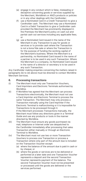- <span id="page-6-0"></span>(e) engage in any conduct which is false, misleading or deceptive concerning goods or services supplied by the Merchant, Worldline's or ANZ's products or policies or in any other dealings with the Cardholder;
- (f) use a Nominated Card in a Credit Transaction to give a Cardholder cash. The Merchant may use a Nominated Card in a Debit Transaction to give a Cardholder cash provided the Merchant has prominently displayed in the Premises the Merchant's policy on cash out and partial cash out services including any applicable fees; or
- (g) use a Nominated Card issued in the name of the Merchant in any Transaction to pay for goods or services or to provide cash where the Transaction is not a bona fide sale or where the Transaction is for the purpose of funding the working capital of the Merchant's business. Where the Merchant is a partnership, no Nominated Card issued in the name of a partner is to be used in any such Transaction. Where the Merchant is a company, no Nominated Card issued in the name of a director or secretary is to be used in any such Transaction.

Any Cardholder making enquiries concerning the matters raised in paragraphs (b) to (d) above must be directed to contact Worldline Merchant Services.

#### **6. Processing transactions**

- (i) The Merchant must only use Transaction Vouchers, Card Imprinters and Electronic Terminals authorised by Worldline.
- (ii) If Worldline has agreed that the Merchant can process Transactions electronically, the Merchant must not use a Card Imprinter and Electronic Terminal to process the same Transaction. The Merchant may only process a Transaction manually using the Card Imprinter if the Electronic Terminal is malfunctioning or it is impossible for Transactions to be processed through it. If the Merchant processes Transactions manually, the Merchant must follow any directions given in a Terminal Guide and use any products or tools in the manner directed by Worldline.
- (iii) The Merchant must ensure any goods purchased via mail, telephone or Internet order are despatched to the Cardholder immediately after processing that sales Transaction either manually or through an Electronic Terminal to Worldline.
- (iv) The Merchant must not use two or more Transaction Vouchers to process one Transaction or process a Transaction where only part of the amount due is included on the Transaction Voucher except:
	- (a) where the balance of the amount due is paid in cash or by cheque; or
	- (b) where the goods or services are to be delivered or performed at a later date and one Transaction Voucher represents a deposit and the second Transaction Voucher represents payment of the balance. The second Transaction Voucher must not be presented or processed until the goods are delivered or the services performed.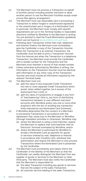- (v) The Merchant must not process a Transaction on behalf of another person including another merchant or allow another person to use the Merchant Facilities except under a bona fide agency arrangement.
- (vi) The Merchant must use reasonable care in processing a Transaction to detect forged or unauthorised signatures or the unauthorised use or forgery of a Nominated Card. In particular, the Merchant must comply with specific requirements set out in the Terminal Guides or reasonable directions notified by Worldline to the Merchant in writing. You are advised to read the Fraud Minimisation guidelines which can be found at [anzworldline.com.au/fraud](http://www.anzworldline.com.au/fraud).
- (vii) Following each Transaction (other than mail, telephone and Internet Orders) the Merchant must immediately give the Cardholder a copy of the Transaction Voucher. When the Transaction is an Internet Transaction, the Cardholder must be able to print a Transaction Voucher from the Internet and when the Transaction is a telephone Transaction, the Merchant must provide the Cardholder with a receipt number for the Transaction and the Merchant must maintain a record of that receipt number.
- (viii) Unless otherwise authorised by Worldline in writing, the information on the Transaction Voucher must be identical with information on any other copy of the Transaction Voucher and must include all information required by the relevant Terminal Guide.
- (ix) The Merchant must not:
	- (a) split the value of any proposed Credit Transaction into two or more separate Credit Transactions which would, when added together, be in excess of the Authorised Floor Limit[; or
	- (b) split the value of transactions or engage in any form of *"load balancing"* (that is, any form of distributing transactions between or over different merchant accounts with Worldline and/or any one or more other acquirers) with the aim of avoiding any transaction limits imposed by any Nominated Card Schemes].
- (x) If Worldline determines that the conduct of a Merchant in processing Transactions in accordance with the Agreement may cause loss to the Merchant or Worldline (through fraudulent activities or otherwise), Worldline may:
	- (a) where the Merchant is using a Card Imprinter, require the Merchant to replace that Card Imprinter with an Electronic Terminal nominated by Worldline; and/or
	- (b) where the Merchant is authorised by Worldline to accept a Nominated Card as payment for goods or services ordered by mail, telephone or Internet in accordance with Condition 4(ii), withdraw that authorisation and require the Merchant to only process Transactions where the Nominated Card is presented by the Cardholder.
- (xi) The Merchant must prominently and clearly inform the Cardholder of the identity of the Merchant so that the Cardholder can readily distinguish the Merchant from any supplier of goods or services to the Merchant or other third party. The Merchant must also notify the Cardholder that the Merchant is responsible for:
	- (a) the sales Transaction including any goods or services that are the subject of the sales Transaction;
	- (b) all customer service relating to the sales Transaction;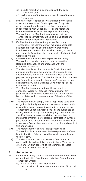- <span id="page-8-0"></span>(c) dispute resolution in connection with the sales Transaction; and
- (d) performance of the terms and conditions of the sales Transaction.
- (xii) If the Merchant is specifically authorised by Worldline to accept a Nominated Card as payment for goods or services ordered by mail, telephone or Internet in accordance with Condition 4(ii) or the Merchant is authorised by a Cardholder to process Recurring Transactions, the Merchant must ensure that the Transaction is correctly identified as a mail, telephone, Internet Order or Recurring Transaction.
- (xiii) If a Merchant is authorised to process Recurring Transactions, the Merchant must maintain appropriate business practices to ensure that the Cardholder's Nominated Card information remains current, accurate and complete (including where applicable, the Nominated Card's expiry date).
- (xiv) If the Merchant is authorised to process Recurring Transactions, the Merchant must also ensure that Recurring Transactions are processed with the Cardholder's consent.
- (xv) The Merchant is required to provide Cardholders with a means of informing the Merchant of changes to card account details and/or the Cardholder's wish to cancel payment arrangements. The Merchant is required to action any Cardholder request to change and/or cancel payment arrangements within 5 Business Days of receipt of the Cardholder's request.
- (xvi) The Merchant must not, without the prior written consent of Worldline, process Transactions for any goods or services unless delivery to the Cardholder will be completed within twelve months of the date of the Transaction.
- (xvii) The Merchant must comply with all applicable Laws, any obligations in this Agreement and any reasonable direction of Worldline in carrying out its obligations in processing Transactions under the Agreement. For the avoidance of doubt, a breach of any Law including any code of conduct specifically regulating or prohibiting the retention by merchants of Cardholders' personal identification numbers, passwords or other codes or information that can be used to access a Cardholder's account will constitute a breach of this undertaking.
- (xviii) The Merchant must ensure that it processes all Transactions in accordance with the requirements of any Nominated Card Scheme rules that Worldline notifies to the Merchant.
- (xix) The Merchant must ensure that each Transaction is recorded in Australian dollars except where Worldline has given prior written approval to the Merchant to record Transactions in other currencies.

# **7. Authorisation**

- (i) For non-Recurring Transactions the Merchant must seek prior authorisation from the Authorisation Centre for any Transaction where:
	- (a) in the case of a Credit Transaction:
		- (A) the value is in excess of the Authorised Floor Limit; or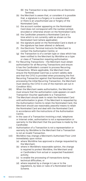- (B) the Transaction is key-entered into an Electronic Terminal;
- (b) the Merchant is aware that, or considers it is possible that, a signature is a forgery or is unauthorised or there is an unauthorised use or forgery of the Nominated Card;
- (c) the account number appearing on the Nominated Card does not correspond with the number printed, encoded or otherwise shown on the Nominated Card;
- (d) the Cardholder presents a Nominated Card at a time which is not currently valid as shown on the Nominated Card (where applicable);
- (e) the signature panel on the Nominated Card is blank or the signature has been altered or defaced;
- (f) the Electronic Terminal instructs the Merchant to contact the Authorisation Centre; or
- (g) the Transaction is of a certain type or class which has been notified to the Merchant by Worldline as a type or class of Transaction requiring authorisation.
- (ii) For Recurring Transactions the Merchant must obtain authorisation for all Recurring Transactions and ensure it has the Cardholder's consent to process Recurring Transactions. Where applicable, the Merchant must ensure the Nominated Card has a current validity date and that the CVV2 is provided when processing the first Recurring Transaction against that Nominated Card. After processing the initial Recurring Transaction, the Merchant must destroy the CVV2 in one of the manners set out in Condition 9(iv).
- (iii) When the Merchant seeks authorisation, the Merchant must ensure that the authorisation code appears on each Transaction Voucher applicable to a Transaction.
- (iv) The Merchant should seek to retain the Nominated Card until authorisation is given. If the Merchant is requested by the Authorisation Centre to retain the Nominated Card, the Merchant should use reasonably peaceful means to retain the Nominated Card and deal with the Nominated Card in accordance with the instructions of the Authorisation Centre.
- (v) In the case of a Transaction involving a mail, telephone or Internet order, authorisation is not a representation or warranty to the Merchant that the purchase is made by the Cardholder.
- (vi) Authorisation of a Transaction is not a representation or warranty by Worldline to the Merchant that a Transaction is not an Invalid Transaction.
- (vii) Worldline may change a Merchant's Authorised Floor Limit immediately upon notice:
	- (a) where Worldline has approved a change requested by the Merchant;
	- (b) where in Worldline's reasonable opinion, the change is required to protect Worldline, the Merchant and/ or Cardholders from actual or suspected fraudulent activity;
	- (c) to enable the processing of transactions during technical difficulties; or
	- (d) where required by a change in Law or to the regulations, by-laws or rules of a Nominated Card Scheme.

**10** General Conditions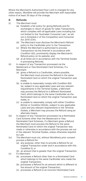<span id="page-10-0"></span>Where the Merchant's Authorised Floor Limit is changed for any other reason, Worldline will provide the Merchant with reasonable notice of at least 30 days of the change.

#### **8. Refunds**

- (i) The Merchant must:
	- (a) Establish a fair policy for giving Refunds and for exchanges or return of goods for sales Transactions, which complies with all applicable Laws including but not limited to the "Australian Consumer Law", as set out in Schedule 2 of the Competition and Consumer Act 2010 (Cth).
	- (b) The Merchant must disclose the Merchant's Refund policy to the Cardholder prior to the Transaction.
	- (c) Where the Merchant is authorised to process Transactions via the Internet in accordance with Condition 4(ii), prominently display the Merchant's Refund policy on its website; and
	- (d) at all times act in accordance with the Terminal Guides in processing Refunds.
- (ii) In respect of any Transaction processed via the Mastercard or Visa Nominated Card Schemes, if a Merchant:
	- (a) gives a Refund to a Cardholder, where possible, the Merchant must process the Refund to the same Nominated Card on which the original Transaction was made;
	- (b) is unable to reasonably comply with Condition 8(ii) (a), subject to any applicable Laws and any relevant requirements in the Terminal Guides, a Merchant may process the Refund to a different Nominated Card, which belongs to the same Cardholder as the Nominated Card on which the original Transaction was made; or
	- (c) is unable to reasonably comply with either Condition 8(ii)(a) or Condition 8(ii)(b), subject to any applicable Laws and any relevant requirements in the Terminal Guides, a Merchant may process the Refund using an alternate means.
- (iii) In respect of any Transaction processed via a Nominated Card Scheme other than the Mastercard or Visa Nominated Card Schemes, if a Merchant gives a Refund the Merchant must process the Refund to the same Nominated Card on which the original Transaction was made or otherwise in accordance with the process set out in the relevant Terminal Guides, unless otherwise required by Law.
- (iv) The Merchant must not, without Worldline's prior consent process a Refund for:
	- (a) any purpose, other than to provide a Refund for an original Transaction under and in accordance with this Condition 8; or
	- (b) an amount that is greater than the original Transaction.
- (v) If a Merchant:
	- (a) processes a Refund other than to a Nominated Card which belongs to the same Cardholder who made the original Transaction;
	- (b) processes a Refund for an amount which is different to the amount of the original Transaction;
	- (c) processes a Refund to an incorrect Nominated Card;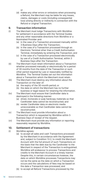or

<span id="page-11-0"></span>(d) makes any other errors or omissions when processing a Refund, the Merchant may be liable for any losses, claims, damages or costs (including consequential loss) arising directly or indirectly in connection with the Refund or original Transaction.

# **9. Transaction information**

- (i) The Merchant must lodge Transactions with Worldline for settlement in accordance with the Terminal Guides and any other reasonable directions from Worldline or a Nominated Provider and:
	- (a) in the case of a Transaction processed manually within 3 Business Days after the Transaction;
	- (b) in the case of a Transaction processed through an Electronic Terminal other than a Credit Authorisation Terminal, immediately by entering the Transaction; and
	- (c) in the case of a Transaction processed electronically by use of a Credit Authorisation Terminal, within 3 Business Days after the Transaction.
- (ii) The Merchant must retain information about a Transaction whether processed manually or electronically for a period of 30 months from the date of the Transaction or such other period required by Law or reasonably notified by Worldline. The Terminal Guides set out the information about a Transaction which the Merchant must retain.
- (iii) The Merchant must destroy any information about the Transaction on the later of:
	- (a) the expiry of the 30-month period; or
	- (b) the date on which the Merchant has no further business or legal reason for retaining the information.
- (iv) The Merchant must ensure that Cardholder data is destroyed in the following manner:
	- (a) shred, incinerate or pulp hardcopy materials so that Cardholder data cannot be reconstructed; and
	- (b) render Cardholder data on electronic media unrecoverable so that Cardholder data cannot be reconstructed.
- (v) The Merchant must provide information about a Transaction which is requested by Worldline within 5 Business Days of receipt of the request.
- (vi) The Merchant must provide any information or reporting reasonably required by Worldline.

# **10. Settlement of transactions**

- (i) Worldline agrees:
	- (a) to accept all sales and cash Transactions processed by the Merchant in accordance with the Agreement and, subject to Condition 13.2, to credit the Merchant Account with the full amount of such Transactions on the basis that the debt due by the Cardholder to the Merchant in respect of the Transaction is extinguished. Worldline will endeavour to process Transactions and credits to the Merchant Account in a timely manner. Despite this, in certain circumstances however, the date on which Worldline processes Transactions may not be the same as the date on which a Transaction occurs and the calculations of fees may be based on the date a Transaction was processed; and
	- (b) to accept all Refund Transactions processed by the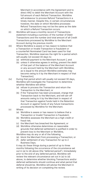Merchant in accordance with the Agreement and to direct ANZ to debit the Merchant Account with the full amount of each Refund Transaction. Worldline will endeavour to process Refund Transactions in a timely manner. Despite this, in certain circumstances however, the date on which Worldline processes Refund Transactions may not be the same as the date on which a Refund Transaction occurs.

- (ii) Worldline will issue a monthly record of Transactions statement including a summary of the number of Debit Transactions and the number and total amount of all Credit Transactions processed by Worldline to the Merchant Account during the previous month.
- (iii) Where Worldline is aware or has reason to believe that a Transaction or Invalid Transaction is fraudulent or a counterfeit Nominated Card has been used for that Transaction, Worldline reserves the right for a period which will usually not exceed 30 days to:
	- (a) withhold payment to the Merchant Account [; and
	- (b) unless it otherwise agrees in writing, prevent the debit of that part of the balance of the Merchant Account or any account held by the Merchant with Worldline, as is equal to the amount Worldline estimates may become owing to it by the Merchant in respect of that Transaction].
- (iv) During that period which will usually not exceed 30 days, Worldline will investigate the Transaction to determine whether Worldline will either:
	- (a) refuse to process the Transaction and return the Transaction to the Merchant; or
	- (b) if the Transaction has been processed, charge that Transaction back to the Merchant, and will set-off amounts owing to it by the Merchant in respect of that Transaction against funds held in the Retention Account or against funds of any future transactions processed by Worldline for the Merchant.
- (v) Where:
	- (a) Worldline is aware or has reason to believe that a Transaction or Invalid Transaction is fraudulent;
	- (b) Worldline assesses the Merchant as a high credit or fraud risk;
	- (c) the Merchant has breached the Agreement; or
	- (d) Worldline otherwise determines on reasonable grounds that deferred settlement is justified in order to prevent loss to the Merchant or Worldline,

Worldline may do any or all of the following:

- (e) block the Merchant from processing a Transaction; or
- (f) defer settlement of any Transaction for up to 2 Business Days.

It may do these things during a period of up to three months following the occurrence of the circumstance set out in (a) to (d) above (the "deferred period"). Immediately prior to the end of any deferred period, Worldline will review the relevant circumstance set out in (a) to (d) above, to determine whether blocking Transactions and/or deferred settlements should continue and what period that deferral should be. Worldline will advise the Merchant in writing of its decision on completing the review.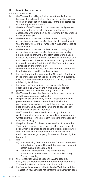# <span id="page-13-0"></span>**11. Invalid transactions**

A Transaction is invalid if:

- (i) the Transaction is illegal, including, without limitation, because it is in breach of any Law governing, for example, the sale of prescription medicines, controlled substances or other regulated products;
- (ii) the date of the Transaction is a date after the Agreement was suspended or the Merchant Account frozen in accordance with Condition 29 or terminated in accordance with Condition 30;
- (iii) the Merchant processes the Transaction knowing (or in circumstances where the Merchant should have known) that the signature on the Transaction Voucher is forged or unauthorised;
- (iv) the Merchant processes the Transaction knowing (or in circumstances where the Merchant would reasonably be expected to know) that the Nominated Card is used without the authority of the Cardholder or in the case of a mail, telephone or Internet order authorised by Worldline in accordance with Condition 4(ii), the Transaction is not authorised by the Cardholder;
- (v) the Merchant was notified by Worldline not to accept the Nominated Card used in the Transaction;
- (vi) for non-Recurring transactions, the Nominated Card used in the Transaction is not used at a time which is currently valid as shown on the Nominated Card (unless otherwise advised by Worldline);
- (vii) for Recurring Transactions the expiry date (where applicable) and CVV2 of the Nominated Card is not provided with the initial Recurring Transaction;
- (viii) the Transaction Voucher is not completed in accordance with the Agreement or is illegible;
- (ix) the particulars on the copy of the Transaction Voucher given to the Cardholder are not identical with the particulars on any other copy and the Merchant has not been authorised by Worldline in writing to accept copy vouchers which are not identical;
- (x) the Transaction is recorded in a currency other than Australian dollars, except where Worldline has given prior written approval to the Merchant to record Transactions in other currencies;
- (xi) the price charged for the goods or services to which the Transaction relates is more than the Merchant's normal price which is charged to the general public, except where the additional amount represents the amount of any credit card surcharge properly incurred or charged by the Merchant;
- (xii) for:
	- (a) non-Recurring Transactions the Transaction requires authorisation by Worldline and the Merchant does not obtain such authorisation; and
	- (b) Recurring Transactions the Transaction is unauthorised and/or does not contain a Recurring Transactions flag;
- (xiii) the Transaction value exceeds the Authorised Floor Limit, and the Merchant did not obtain authorisation for a Transaction above the Authorised Floor Limit;
- (xiv) the Transaction requires authorisation by Worldline and the Transaction Voucher does not contain the authorisation code;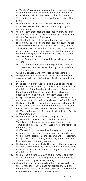- (xv) in Worldline's reasonable opinion the Transaction relates to one or more purchases made in the same Merchant establishment which have been split into 2 or more Transactions in an attempt to avoid the Authorised Floor Limit;
- (xvi) the Merchant has arranged without Worldline's consent for a person other than the Merchant to supply goods, services or cash;
- (xvii) the Merchant processes the Transaction knowing (or in circumstances where the Merchant should have known) that the Transaction is fraudulent;
- (xviii) the Cardholder has not received the goods or service as required by the terms of the Transaction (and, in the case where the Merchant is not the provider of the goods or services and acts as agent for the provider of the goods or services, the goods or services have not been provided by the principal) and the Merchant has failed to provide Worldline with proof that:
	- (a) the Cardholder has received the goods or services; and
	- (b) the Cardholder is satisfied the goods and services have been provided as required by the terms of the Transaction,

within 5 Business Days of Worldline's request to do so;

- (xix) the goods or services to which the Transaction relates were supplied from outside Australia without Worldline's consent;
- (xx) in the case of a Transaction being a mail, telephone or Internet order authorised by Worldline in accordance with Condition 4(ii), the Merchant did not record Reasonable Identification Details of the Cardholder and (where applicable) the expiry date of the Nominated Card;
- (xxi) except in the case of a mail, telephone or Internet order authorised by Worldline in accordance with Condition 4(ii) the Nominated Card was not presented to the Merchant;
- (xxii) in the case of a Transaction where the details are keyed into an Electronic Terminal the Merchant did not record on the Transaction Voucher Reasonable Identification Details of the Cardholder;
- (xxiii) the Merchant has not otherwise complied with the Agreement in connection with the Transaction and Worldline is of the reasonable opinion that such noncompliance may result in either Worldline or the Merchant suffering a loss;
- (xxiv) the Transaction is processed by the Merchant on behalf of another person, or has allowed another person to use the Merchant Facilities in connection with the Transaction, except under a bona fide agency arrangement authorised in accordance with the Agreement:
- (xxv) the Merchant has accepted a Nominated Card as payment for goods and services by mail, telephone or Internet order without specific authorisation in writing by Worldline under Condition 4(ii):
- (xxvi) the Merchant bills the amount of the Transaction direct to the Cardholder or receives payment through the use of another card or by any other means;
- (xxvii) the card number or truncated card number appearing on the Transaction Voucher does not correspond with the card number printed, encoded or otherwise shown on the Nominated Card used for the Transaction;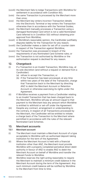- <span id="page-15-0"></span>(xxviii) the Merchant fails to lodge Transactions with Worldline for settlement in accordance with Condition 9(i):
- (xxix) the same Transaction is processed by the Merchant more than once;
- (xxx) the Merchant key-enters incorrect Transaction details into the Electronic Terminal or key-enters the Transaction otherwise than in accordance with the Terminal Guides;
- (xxxi) the Merchant manually processes a Transaction using a damaged Nominated Card which is not a valid Nominated Card referred to in Condition 5(ii) without obtaining prior approval from Worldline;
- (xxxii) in Worldline's reasonable opinion, the Cardholder justifiably disputes liability for the Transaction for any reason;
- (xxxiii) the Cardholder makes a claim for set off or counter claim in respect of the Transaction against Worldline;
- (xxxiv) the Transaction was processed in breach of the requirements of any Nominated Card Scheme rules; or
- (xxxv) the Transaction is not authorised by Worldline or the authorisation request is declined for any reason.

#### **12. Chargeback**

- (i) If a Transaction is an Invalid Transaction, Worldline may, at its sole discretion (and without a request or demand from a Cardholder):
	- (a) refuse to accept the Transaction; or
	- (b) if the Transaction has been processed, at any time within two years of the date of the Transaction, charge that Transaction back to the Merchant by directing ANZ to debit the Merchant Account or Retention Account or otherwise exercising its rights under the Agreement.
- (ii) If Worldline receives a payment from a Cardholder relating to an Invalid Transaction that has been charged back to the Merchant, Worldline will pay an amount equal to that payment to the Merchant less any amount which Worldline is entitled to withhold or set-off under the Agreement.
- (iii) Despite any contract, arrangement or understanding to the contrary, in respect of all Transactions processed by the Merchant, the Cardholder will be entitled to initiate a charge back of the Transaction to the Merchant where permitted in accordance with the rules of the relevant Nominated Card Schemes.

#### **13. Merchant accounts**

#### **13.1 Merchant account**

- (i) The Merchant must maintain a Merchant Account of a type acceptable to Worldline with an authorised deposit-taking institution for the term of the Agreement.
- (ii) Where the Merchant Account is held with a financial institution other than ANZ, the Merchant must provide Worldline with a properly completed periodical direct debit authority in favour of ANZ to enable ANZ to debit the Merchant Account on behalf of Worldline and transfer the relevant funds to Worldline.
- (iii) Worldline reserves the right acting reasonably to require the Merchant to maintain a minimum credit balance in the Merchant Account during the term of the Agreement. Any such minimum credit balance will be notified by Worldline to the Merchant from time to time.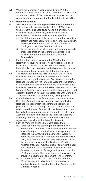<span id="page-16-0"></span>(iv) Where the Merchant Account is held with ANZ, the Merchant authorises ANZ to debit and credit the Merchant Account on behalf of Worldline for the purposes of the Agreement and to transfer the funds debited to Worldline.

#### **13.2 Retention account**

- (i) Worldline may at any time give the Merchant a Retention Notice where, in the reasonable opinion of Worldline, the Merchant's business gives rise to a significant risk of financial loss to Worldline, the Merchant and/or Cardholders. The Retention Notice must specify:
	- (a) the Retention Amount, being an amount that Worldline determines reasonably reflects any consequent liability to Worldline whether present or future, actual or contingent, that flows from that risk; and
	- (b) the proportion of the Merchant's settlement proceeds processed through the Merchant Facilities to be retained in the Retention Account **("Retained Proceeds");**
- (ii) If a Retention Notice is given to the Merchant and a Retention Account has not previously been established in relation to the Merchant, Worldline will establish a Retention Account in relation to the Merchant. No interest is payable on the balance in the Retention Account.
- (iii) The Merchant authorises ANZ to: deduct the Retained Proceeds from the Merchant's settlement proceeds processed through the Merchant Facilities and retain the Retained Proceeds in the Retention Account. The balance of the Merchant's settlement proceeds after the Retained Proceeds have been deducted will only be released to the Merchant Account in accordance with this Agreement; and debit the Retention Account in accordance with Condition 12(i)(b) or otherwise as permitted by this Agreement.
- (iv) Once the balance of the Retention Account reaches the Retention Amount, ANZ will continue to deduct further Retained Proceeds from the Merchant's settlement proceeds processed through the Merchant Facilities and retain these Retained Proceeds in the Retention Account, but will release a corresponding amount to the Merchant Account so that the balance of the Retention Account (after any deductions made in accordance with this Agreement) remains at the Retention Amount.
- (v) Each of Worldline and the Merchant agree that:
	- (a) Retention Amounts standing to the credit of the Retention Account shall only mature, and the Merchant may only request the withdrawal or repayment of the Retention Amounts, with the consent of Worldline. Worldline shall only give that consent upon Worldline being satisfied that, in Worldline's reasonable opinion, the Merchant has no further liability to Worldline, whether present or future, actual or contingent, under or in respect of this Agreement, including without limitation on account of chargebacks under condition 12 (Chargebacks). This condition overrides any other provision, document or agreement to the contrary;
	- (b) on request from the Merchant from time to time, Worldline may in its absolute discretion release additional amounts from the Retention Account to the Merchant Account.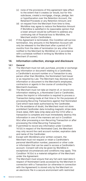- <span id="page-17-0"></span>(c) none of the provisions of this agreement take effect to the extent that it creates (or would, but for this subclause, create) a mortgage, charge, pledge, lien or hypothecation over the Retention Account, the Retained Proceeds or any Retention Amount; and
- (d) on request from the Merchant from time to time, Worldline may agree to reduce the Retention Amount if Worldline is satisfied in its reasonable opinion that a lower amount would be sufficient to address any continuing risk of financial loss to Worldline, the Merchant and/or Cardholders.
- (vi) If this Agreement is terminated, this Condition will survive termination. Any amounts in the Retention Account will only be released to the Merchant after a period of 12 months from the date of termination (or any other time notified to the Merchant by Worldline) or in accordance with a schedule notified in writing by Worldline to the Merchant (if sooner).

#### **14. Information collection, storage and disclosure**

#### **14.1 General**

- (i) The Merchant must not sell, purchase, provide or exchange any information or document relating to a Cardholder, a Cardholder's account number or a Transaction to any person other than Worldline, the Nominated Card issuer or as required by Law. The Merchant may disclose such information or document to the Merchant's employees, contractors or agents in the course of conducting the Merchant's business.
- (ii) The Merchant must not take an imprint of, or record any information relating to, a Nominated Card or Cardholder, unless the imprint or information is required to process a Transaction being made at that time or for the purposes of processing Recurring Transactions against that Nominated Card which have been authorised by the Cardholder. For the avoidance of doubt, the Merchant must not store prohibited Cardholder data including magnetic stripe data (track data), EMV data (chip data) and the CVV2 after a transaction is complete and must immediately destroy this information in one of the manners set out in Condition 9(iv) after processing a non-Recurring Transaction or after processing the initial Recurring Transaction.
- (iii) If permitted to record any information under Condition 14.1(ii) in respect of the Nominated Card, the Merchant may only record the card account number, expiration date and name of the Cardholder.
- (iv) Except with Worldline's prior written consent, the Merchant must not request or retain a Cardholder's personal identification number, password or other code or information that can be used to access a Cardholder's account. Consent will only be given by Worldline in exceptional circumstances and conditions may apply. This Condition 14.1(iv) is a material obligation of the Merchant under the Agreement.
- (v) The Merchant must ensure that any full card-read data in respect of Nominated Cards accessed by the Merchant in connection with a Transaction (or otherwise in connection with the Agreement) is stored only by the Merchant on an electronic file in a secure environment with restricted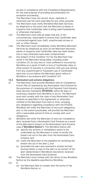<span id="page-18-0"></span>access in compliance with the Compliance Requirements, for the sole purpose of providing documentation for exception processing.

The Merchant must not record, store, replicate or otherwise use full card-read data for any other purpose.

- (vi) The Merchant must notify Worldline Merchant Services by telephone in the event that the Merchant is aware or suspects that Cardholder data is being used fraudulently or otherwise improperly.
- (vii) The Merchant must take all steps that are, in the circumstances, reasonable to ensure that Cardholder data is protected against loss, theft, unauthorised access or use, or other misuse.
- (viii) The Merchant must immediately notify Worldline Merchant Services by telephone as soon as the Merchant becomes aware or suspects that Cardholder data has been stolen, lost or may otherwise have been compromised.
- (ix) Any breach of this Condition 14.1 by the Merchant may result in the Merchant being liable, including under Condition 23, for any loss or costs suffered or incurred by Worldline as a result of theft or loss of Cardholder data, or other breach of security in connection with any loss arising from any unauthorised or fraudulent use of Cardholder data that occurs before the Merchant gives notice to Worldline in accordance with Condition 14.1.

#### **14.2 Nominated card scheme obligations**

- (i) The Merchant must provide Worldline with its Compliance Action Plan (if required by any Nominated Card Scheme for the purposes of complying with the Payment Card Industry Data Security Standards **[PCIDSS]**) within 90 days of receiving a request from Worldline to do so. The Merchant must also comply with the rules of any Nominated Card Scheme as specified in this Agreement or otherwise notified to the Merchant from time to time, including any obligations regarding compliance with the PCIDSS. Worldline will notify the Merchant of any such obligations and, to the extent practicable, will provide the Merchant with a reasonable period of time to comply with such obligations.
- (ii) Worldline will notify the Merchant of any non-compliance alert received from a Nominated Card Scheme as a result of the Merchant's breach of the Nominated Card Scheme rules **("Worldline Notice").** The Worldline Notice will:
	- (a) specify any actions or remediation works to be undertaken by the Merchant in order to rectify the breach set out in the alert from the Nominated Card Scheme; and
	- (b) notify the Merchant of the deadline for rectifying the breach set out in the alert [; and
	- (c) (provided the alert was received in written format) enclose either a copy of the alert or an extract of the alert (determined in Worldline's discretion) received from the Nominated Card Scheme].
- (iii) The Merchant must comply with the terms of any Worldline Notice by the deadline specified by Worldline.
- $(iv)$  If:
	- (a) the Merchant fails to comply with the terms of the Worldline Notice; or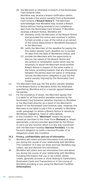<span id="page-19-0"></span>(b) the Merchant is otherwise in breach of the Nominated Card Scheme rules,

Worldline may receive a breach notification (which may include a fine and/or penalty) from a Nominated Card Scheme **("Breach Notice").** The Merchant acknowledges that Worldline may receive a Breach Notice without having received a non-compliance alert from the Nominated Card Scheme. If Worldline receives a Breach Notice, Worldline will:

- (A) promptly notify the Merchant of the Breach Notice and (provided the notice was received in written format) provide a copy of the notice or an extract of the notice (determined in Worldline's discretion) to the Merchant;
- (B) notify the Merchant of the deadline for paying the fine and/or penalty (such deadline not to exceed 30 days from the date of Worldline's notice); and
- (C) provide the Merchant with the opportunity to discuss the nature of the Breach Notice and any actions or remediation works which may be necessary to assist the Merchant avoid another Breach Notice in respect of the same matter in the future, providing however that any discussions between the parties does not waive or otherwise remove the Merchant's obligation to pay the fine and/or penalty imposed by the Nominated Card Scheme.
- (v) The Merchant must pay the fine and/or penalty detailed in the Breach Notice to Worldline within the timeframe specified by Worldline and in a manner agreed between the parties.
- (vi) For the avoidance of doubt, the Merchant agrees that it is liable for all fines and/or penalties imposed by the Nominated Card Schemes (whether imposed on Worldline or the Merchant directly) as a result of the Merchant's breach of the Nominated Card Scheme rules. However, the Merchant is not liable to pay a fine or penalty to Worldline under paragraph (v) where a Breach Notice is caused by Worldline's negligence, fraud or wilful default.
- (vii) In this Condition 14.2, **"Merchant"** means the person named as merchant in the Order Form **(Person)** or, where appropriate, a service provider appointed by the Person to carry out any function which is in any way connected with the Merchant Facilities **(Service Provider).** It is the Person's obligation to notify a Service Provider of its obligations under this Condition.

#### **14.3 Privacy, confidentiality and use of information**

- (i) Worldline will collect and use information from and about you during the course of your relationship with Worldline. This Condition 14.3 sets out when and how Worldline may collect, use and disclose this information.
- (ii) Worldline will collect and use information from and about you during the course of your relationship with Worldline, including information that you or we collect, obtain, create, generate, process or store relating to Cardholders, Nominated Cards and Transactions or in the course of Worldline providing or you using the Merchant Facilities **(Information).**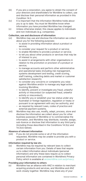- (iii) If you are a corporation, you agree to obtain the consent of your directors and shareholders for Worldline to collect, use and disclose their personal information as provided in this Condition 14.3.
- (iv) It is important that the information Worldline holds about you is up to date. You must let Worldline know when information you have provided Worldline has changed.
- (v) Unless otherwise stated, this clause applies to individuals and non-individuals (e.g. companies).

#### **Collection, use and disclosure of information**

- (vi) Worldline may use and disclose the information we collect about you for the following purposes:
	- to assist in providing information about a product or service;
	- to consider your request for a product or service;
	- to enable Worldline to provide a product or service;
	- to tell you about other products or services that may be of interest to you;
	- to assist in arrangements with other organisations in relation to the promotion or provision of a product or service;
	- to manage accounts and perform other administrative and operational tasks (including risk management, systems development and testing, credit scoring, staff training, collecting debts and market or customer satisfaction research);
	- to consider any concerns or complaints you raise against Worldline and/or to manage any legal action involving Worldline;
	- to identify, prevent or investigate any fraud, unlawful activity or misconduct (or suspected fraud, unlawful activity or misconduct);
	- to identify you or establish your tax status under any Australian or foreign legislation, regulation or treaty or pursuant to an agreement with any tax authority; and
	- as required by relevant Laws, codes of practice and external payment systems.
- (vii) Worldline may also use, modify, adapt, process, store and disclose the information we collect about you for other business purposes of Worldline or to commercialise the information, and Worldline may distribute, transfer, assign, sub-licence or disclose that information to any third party (including those described in the Conditions 14.3(x) and 14.3(xi) below).

#### **Absence of relevant information**

(viii) If you do not provide some or all of the information requested, Worldline may be unable to provide you with a product or service.

#### **Information required by law etc.**

(ix) Worldline may be required by relevant laws to collect certain information from you. Details of laws that require us to collect information about individuals (personal information) and why these laws require us to collect personal information are contained in Worldline's Privacy Policy which is available at [anzworldline.com.au/privacy.](http://www.anzworldline.com.au/privacy)

#### **Providing your information to others**

(x) Worldline has an alliance with ANZ in relation to merchant acquiring products and services, and Worldline and ANZ work closely together. Worldline may share any of your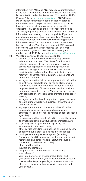information with ANZ, and ANZ may use your information in the same manner and to the same extent that Worldline is permitted to under this Agreement. You can find ANZ's Privacy Policy at www.anz.com/privacy. ANZ's Privacy Policy includes information about collection personal information from third parties and pursuant to particular laws; overseas disclosures of personal information (including likely countries); the credit reporting bodies ANZ uses; requesting access to and correction of personal information; and making privacy complaints. If you are an individual you can inform your Worldline Manager to withdraw your consent to Worldline disclosing personal information to ANZ (except where otherwise permitted by law, e.g. where Worldline has engaged ANZ to provide a service to Worldline which requires your personal information). If you wish to opt out of receiving ANZ marketing, call 13 13 14 or email yourfeedback@anz.com. (xi) Worldline may provide your information to:

- any related entity of Worldline which may use the information to: carry out Worldline's functions and activities; promote its own products and services; assess your application for one of its products or services; manage your product or service; perform administrative and operational tasks (including debt recovery); or comply with regulatory requirements and prudential standards;
- an organisation that is in an arrangement with Worldline to jointly offer products and/ or has an alliance with Worldline to share information for marketing or other purposes (and any of its outsourced service providers or agents), to enable them or Worldline to: provide you with products or services; and/or promote a product or service;
- an organisation involved in any actual or proposed sale or restructure of Worldline's business, or purchase of another business;
- any agent, contractor or service provider Worldline engages to carry out or assist its functions and activities (for example, mailing houses or debt collection agencies);
- an organisation that assists Worldline to identify, prevent or investigate fraud, unlawful activity or misconduct;
- regulatory bodies, government agencies, law enforcement bodies and courts;
- other parties Worldline is authorised or required by Law or court/ tribunal order to disclose information to;
- participants in the payments system (including Nominated Card Schemes, payment organisations and merchants) and other financial institutions (such as Nominated Card issuers or banks);
- other credit providers;
- insurers and reinsurers;
- any person who introduces you to Worldline;
- your referee(s);
- your joint borrower(s) or account holder(s); and
- your authorised agents; your executor, administrator or trustee in bankruptcy; your legal representative; your attorney; or anyone acting for you in connection with your account.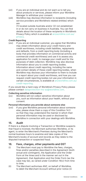- <span id="page-22-0"></span>(xii) If you are an individual and do not want us to tell you about products or services, please inform your Worldline Manager to withdraw your consent.
- (xiii) Worldline may disclose information to recipients (including service providers and Worldline's related entities) which are

(1) located outside Australia and/or (2) not established in or do not carry on business in Australia. You can find details about the location of these recipients in Worldline's Privacy Policy which is available at [anzworldline.com.au/](http://www.anzworldline.com.au/privacy) [privacy](http://www.anzworldline.com.au/privacy).

#### **Credit Reporting**

(xiv) If you are an individual customer, you agree that Worldline may obtain information about your credit history and credit worthiness, including credit liabilities, repayments and defaults, from a credit reporting body (including a body that provides information on commercial activity and commercial credit worthiness) and use it to assess any application for credit, to manage your credit and for the purposes of debt collection. Worldline may also disclose information about you to credit reporting bodies. Information about credit reporting, including the name and contact details of these credit reporting bodies, when Worldline may disclose your information to them to include in a report about your credit worthiness, and how you can request credit reporting bodies not use your information in certain circumstances, is available at [anzworldline.com.au/](http://www.anzworldline.com.au/credit-reporting) [credit-reporting.](http://www.anzworldline.com.au/credit-reporting)

If you would like a hard copy of Worldline's Privacy Policy please please contact dataprotection-ms-au@worldline.com.

# **Collecting sensitive information**<br>(xy) Worldline will not collect s

Worldline will not collect sensitive information about you, such as information about your health, without your consent.

#### **Personal information you provide about someone else**

(xvi) If you give Worldline personal information about someone else, please show them a copy of this Condition 14.3 so that they may understand the manner in which their personal information may be used or disclosed by Worldline in connection with your dealings with Worldline.

# **15. Audit**

If there is a dispute involving a Transaction or Worldline suspects that fraud is involved, the Merchant authorises Worldline, or its agent, to enter the Merchant's Premises during the Merchant's normal business hours to examine and take copies of the Merchant's books of account and records as they relate to the disputed transaction or suspected fraud.

#### **16. Fees, charges, other payments and GST**

- (i) The Merchant must pay to Worldline the fees, charges, fines and/or penalties described in the Agreement (both actual and contingent), the Application and the Order Form at the times and in the manner set out in the Agreement, that Application and the Order Form (as the case may be), as varied under Condition 16(v) from time to time.
- (ii) The Merchant authorises ANZ, on behalf of Worldline, to debit the Merchant Account without prior notice (in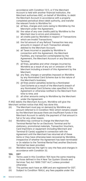<span id="page-23-0"></span>accordance with Condition 13.1), or if the Merchant Account is held with another financial institution, the Merchant authorises ANZ, on behalf of Worldline, to debit the Merchant Account in accordance with a properly completed periodical direct debit authority, and transfer the relevant funds to Worldline for:

- (a) all fees, charges and costs owing to Worldline by the Merchant under the Agreement;
- (b) the value of any over credits paid by Worldline to the Merchant due to errors and omissions;
- (c) all credits paid by Worldline in respect of Transactions which are Invalid Transactions:
- (d) the full amount of any Refund Transaction less any amounts in respect of such Transaction already debited to the Merchant Account;
- (e) all Taxes incurred or payable by Worldline in connection with the Agreement, the Merchant Facilities, any transaction contemplated by the Agreement, the Merchant Account or any Electronic Terminal;
- (f) all fines, penalties and other charges incurred by Worldline as a result of any act or omission of the Merchant including a breach of this Agreement by the Merchant;
- (g) any fees, charges or penalties imposed on Worldline by any Nominated Card Scheme due to the nature of the Merchant's business;
- (h) all fines and/or penalties levied by a Nominated Card Scheme as a result of the Merchant's breach of any Nominated Card Scheme rules specified in this Agreement or otherwise notified to the Merchant from time to time; and
- (i) all other amounts owing to Worldline by the Merchant under the Agreement.

If ANZ debits the Merchant Account, Worldline will give the Merchant written notice that ANZ has done this.

- (iii) The Merchant must pay on demand by Worldline any amount referred to in Condition 16(ii) which remains unpaid by the Merchant because there are insufficient funds in the Merchant Account to satisfy the payment of that amount in full or for any other reason.
- (iv) Worldline may continue to charge the Merchant the Terminal Rental Fee for an Electronic Terminal and for stationery, promotional materials, Transaction Vouchers, Card Imprinters or equipment (including Merchant and Terminal ID Cards) supplied in connection with the Agreement until the Merchant has returned all of these items or they have otherwise been recovered by Worldline, irrespective of whether the Agreement has been terminated or (in relation to the Terminal Rental Fee) another Electronic Terminal has been provided.
- (v) Worldline reserves the right to vary the fees and charges in accordance with Condition 32.

#### **16A. GST**

- (i) Terms used in this Condition 16A have the same meaning as those defined in the A New Tax System (Goods and Services Tax) Act 1999 ("GST Act") unless provided otherwise.
- (ii) The parties each have an ABN and are registered for GST.
- (iii) Subject to Condition 16A(v), any fees payable under the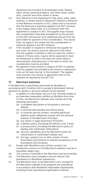<span id="page-24-0"></span>Agreement are inclusive of all Australian state, federal, sales, excise, personal property, and other taxes, stamp duty, customs and other duties or levies.

- (iv) Any reference in this Agreement to fee, price, value, sales, revenue, or similar amount ("Revenue") shall be a reference to that Revenue exclusive of GST, unless and to the extent that the Revenue is expressly agreed to be GST inclusive.
- (v) If any supply made under or in connection with this Agreement is subject to GST, the supplier may increase the consideration otherwise provided for by the amount of that GST and recover such additional amount from the party liable for payment of the consideration. This clause does not apply to the extent that the consideration is expressly agreed to be GST inclusive.
- (vi) If the recipient is required to reimburse the supplier for any costs, the amount must be reduced to the extent that the supplier is entitled to claim an input tax credit in respect of those costs. A party will be assumed to have an entitlement to claim a full input tax credit unless it demonstrates otherwise prior to the date on which the consideration must be provided.
- (vii) No payment of any amount in respect of GST is required until the supplier has provided a tax invoice or adjustment note, as the case may be, to the recipient. The supplier must provide a tax invoice or adjustment note to the recipient as required by the GST Act.

#### **17. Merchant websites**

If the Merchant is specifically authorised by Worldline in accordance with Condition 4(ii) to accept a Nominated Card as payment for goods or services ordered via the Internet:

- (i) In addition to information set out in the Terminal Guides or as otherwise reasonably notified by Worldline from time to time, the Merchant's website must contain all of the following information:
	- (a) a complete description of the goods or services offered;
	- (b) a returned merchandise and refund policy;
	- (c) a customer service contact, including electronic address and/or telephone number and the physical address of the Merchant's Premises;
	- (d) any export or legal restrictions (if known);
	- (e) a delivery policy (including the delivery cost, if any);
	- (f) a privacy policy (including the Merchant's policy on dealing with Cardholder information);
	- (g) security capabilities and the Merchant's policy for transmission of Cardholder's details; and
	- (h) the logo, symbol, icon or other marker of each Nominated Card Scheme to indicate acceptance of the Nominated Card Schemes.
- (ii) Except with Worldline's prior written consent, the transaction currency on the Merchant's website must be in Australian dollars only;
- (iii) The country of domicile of the Merchant must be Australia;
- (iv) The Merchant must complete a Secure Internet Site Declaration to Worldline's satisfaction;
- (v) The Merchant must, at the Merchant's cost, arrange for the Merchant's website to be prepared and maintained in accordance with Worldline's reasonable requirements, including those requirements applicable to Internet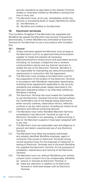<span id="page-25-0"></span>security standards as described in the relevant Terminal Guides or otherwise notified by Worldline in writing from time to time; and

- (vi) The Merchant must, at its cost, immediately rectify any security or processing faults or issues identified by either:
	- (a) the Merchant; or
	- (b) Worldline and notified to the Merchant.

#### **18. Electronic terminals**

This Condition 18 applies if the Merchant has requested and Worldline has agreed the Merchant may process Transactions electronically, or where Worldline has nominated an Electronic Terminal for the Merchant to use in accordance with Condition 6(x).

#### **18.1 General**

- (i) Unless otherwise agreed the Merchant must arrange at the Merchant's cost for an approved telecommunication supplier to install and maintain all necessary telecommunications infrastructure and associated services (including, for example, a telephone line or wireless communications device and any Internet services) to enable the use of the Electronic Terminal. Worldline is not responsible for maintaining any telecommunications requirements in connection with the Agreement.
- (ii) The Merchant must arrange at the Merchant's cost for the preparation of the location of the Electronic Terminal in accordance with Worldline's reasonable requirements, including those requirements applicable to site security standards and suitable power supply described in the Merchant Operating Guides or as otherwise notified by Worldline in writing.
- (iii) The Electronic Terminal site must enable the Cardholder to use the Electronic Terminal instruction keypad without the Cardholder's use of the keypad being observed by either security cameras, observation mirrors, reflective surfaces or by any other person, including by closed circuit television and internal monitoring devices.
- (iv) The Merchant must notify Worldline Merchant Services immediately if any Electronic Terminal (or part of an Electronic Terminal) is not operating, is malfunctioning or has (or the Merchant suspects it has) been tampered with in any way.
- (v) The Merchant must use reasonable care and diligence to prevent and detect unauthorised use of any Electronic Terminal.
- (vi) The Merchant must allow any properly authorised and suitably identified Worldline employee, agent or contractor free access to Electronic Terminals during normal business hours for the purposes of inspection or testing of Electronic Terminals and in the event Worldline has supplied the Electronic Terminal, for the purposes of installation, maintenance and removal of the Electronic Terminal.
- (vii) The Merchant must not, without Worldline's prior written consent (such consent not to be unreasonably withheld): (a) remove or relocate an Electronic Terminal; or
	- (b) make any alteration or addition to an Electronic Terminal or otherwise tamper with an Electronic Terminal.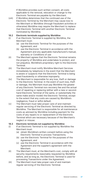<span id="page-26-0"></span>If Worldline provides such written consent, all costs applicable to the removal, relocation or change to the Electronic Terminal are payable by the Merchant.

(viii) If Worldline determines that the continued use of the Electronic Terminal by the Merchant may cause loss to the Merchant or Worldline (through fraudulent activities or otherwise) Worldline may require the Merchant to replace that Electronic Terminal with another Electronic Terminal nominated by Worldline.

#### **18.2 Electronic terminals supplied by Worldline**

- (i) If an Electronic Terminal is supplied by Worldline, the Merchant must:
	- (a) use the Electronic Terminal for the purposes of the Agreement; and
	- (b) use the Electronic Terminal in accordance with the Agreement and any applicable manufacturer's manual, warranty or Conditions of use
- (ii) The Merchant agrees that the Electronic Terminal remains the property of Worldline and undertakes to protect, and not prejudice, Worldline's proprietary right to the Electronic Terminal.
- (iii) The Merchant must notify Worldline Merchant Services immediately by telephone in the event that the Merchant is aware or suspects that the Electronic Terminal is being used fraudulently or otherwise improperly.
- (iv) The Merchant is responsible for any loss, theft or damage to the Electronic Terminal. In the event of such loss, theft or damage, the Merchant must pay Worldline the greater of any Electronic Terminal non-recovery fee and the actual cost of repairing or replacing (either with a new or secondhand Electronic Terminal of the same, or substantially the same make and/or model) the Electronic Terminal, except to the extent that any costs are caused by Worldline's negligence, fraud or wilful default.
- (v) The Merchant must take proper care of and maintain regular servicing of the Electronic Terminal as directed by Worldline. The Merchant is responsible for all maintenance costs as advised by Worldline including payment for the costs of any repairs to or replacement of the Electronic Terminal which are necessary because of the Merchant's neglect or misuse.

#### **18.3 Electronic terminals not supplied by Worldline**

- (i) If an Electronic Terminal is not supplied by Worldline the Merchant must:
	- (a) obtain Worldline's written consent before using the Electronic Terminal to process Transactions;
	- (b) use the Electronic Terminal for the purposes of the Agreement; and
	- (c) use the Electronic Terminal in accordance with the Agreement and the supplier's agreement with the Merchant.
- (ii) The Merchant must, at the Merchant's cost, comply with all security requirements reasonably requested by Worldline before, and as long as, the Electronic Terminal is used for processing Transactions under the Agreement.
- (iii) The Merchant must take proper care of and maintain regular servicing of the Electronic Terminal.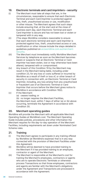# <span id="page-27-0"></span>**19. Electronic terminals and card imprinters – security**

- (i) The Merchant must take all steps that are, in the circumstances, reasonable to ensure that each Electronic Terminal and each Card Imprinter is protected against loss, theft, unauthorised access or use, modification or other misuse. The Merchant agrees that such steps include ensuring that, at the start and at the close of business each day, each Electronic Terminal and each Card Imprinter is secure and has not been lost or stolen or tampered with in any way.
- (ii) [The steps Worldline considers reasonable to ensure that each electronic terminal and each card imprinter is protected against loss, theft, unauthorised access or use, modification or other misuse include the steps detailed in guidelines published on [anzworldline.com.au/merchant](http://wwwanzworldline.com.au/merchant-security)[security.](http://wwwanzworldline.com.au/merchant-security)
- (iii) The Merchant must immediately notify Worldline Merchant Services by telephone as soon as the Merchant becomes aware or suspects that an Electronic Terminal or Card Imprinter has been stolen, lost or may otherwise have been altered, tampered with or compromised.
- (iv) Any breach of this Condition 19 by the Merchant may result in the Merchant being liable, including under condition 23, for any loss or costs suffered or incurred by Worldline as a result of theft or loss of, or other breach of security in connection with, an Electronic Terminal or Card Imprinter, including, any loss arising from any unauthorised or fraudulent use of an Electronic Terminal or Card Imprinter that occurs before the Merchant gives notice to Worldline in accordance with Condition 19(ii).
- (v) If the Merchant:
	- (a) ceases trading; or
	- (b) no longer requires the Merchant Facilities,

the Merchant must, within 7 days of either (a) or (b) above occurring, terminate the Agreement in accordance with Condition 30.

#### **20. Merchant operating guides**

Worldline will provide the Merchant with all applicable Merchant Operating Guides at Worldline's cost. The Merchant Operating Guide includes policies, procedures and other information the Merchant requires for the day-to-day operation of the Merchant Facilities, including requirements set down under Nominated Card Scheme rules.

#### **21. Training**

- (i) The Merchant agrees to participate in any training offered by Worldline (at Worldline's expense) that is in any way connected with the provision of Merchant Facilities under this Agreement.
- (ii) Worldline will be deemed to have provided training to the Merchant if it has provided training to an employee, contractor or agent of the Merchant.
- (iii) The Merchant is responsible at the Merchant's cost for training the Merchant's employees, contractors or agents who are to operate Electronic Terminals or otherwise process Transactions so that those employees, contractors and agents are familiar with the Merchant's obligations under the Agreement and Transactions are processed in accordance with the Agreement.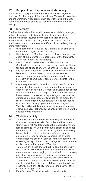# <span id="page-28-0"></span>**22. Supply of card imprinters and stationery**

Worldline will supply the Merchant with, and may charge the Merchant for the supply of, Card Imprinters, Transaction Vouchers and other stationery requirements in accordance with the Order Form or as otherwise agreed by Worldline from time to time in writing.

# **23. Indemnity**

The Merchant indemnifies Worldline against all claims, damages, actions, losses and liabilities (including all fines, penalties and other charges incurred by Worldline as a result of any act or omission of the Merchant) which Worldline or any of its employees, contractors or agents suffers or incurs arising directly or indirectly from:

- (i) the negligence or fraud of the Merchant or an employee, contractor or agent of the Merchant;
- (ii) the failure of the Merchant, or an employee, contractor or agent of the Merchant, to observe any of the Merchant's obligations under the Agreement;
- (iii) any dispute arising between the Merchant and the Cardholder in respect of the supply, use, quality or fitness for purpose of goods or services or the provision of cash;
- (iv) any use of an Electronic Terminal or Card Imprinter by the Merchant or its employees, contractors or agents;
- (v) any representation, warranty or statement made by the Merchant or its employees, contractors or agents to the Cardholder; or
- (vi) any misrepresentation, breach of contract and/or failure of consideration relating to any contract for the supply of goods or services by the Merchant to a Cardholder, except that the Merchant is not obliged to indemnify Worldline or its employees, contractors or agents against any claims, damages, actions, losses or liabilities to the extent they result from the fraud, wilful default or gross negligence of Worldline or its employees, contractors or agents. Worldline will also take reasonable steps to mitigate any claims, damages, actions, losses or liabilities which are the subject of this indemnity.

# **24. Worldline liability**

(i) To the extent permitted by Law, including the Australian Consumer Law or Australian Securities and Investment Commission Act, Worldline will not be responsible for any loss or damage (including consequential loss or damage) suffered by the Merchant under the Agreement including, but not limited to, loss or damage suffered because an Electronic Terminal or any telephone line or other communications device or service is malfunctioning or not operating, except direct loss or damage attributable to the negligence or wilful default of Worldline.

> To remove any doubt and without limiting the generality of this provision, Worldline services and Merchant Facilities are dependent on messaging, communications, processing and other systems which are subject to interruption or breakdown for a variety of reasons. Worldline will take all commercially reasonable steps to reduce the duration should such interruption or breakdown occur but will not otherwise have any liability for any failure, delay or other matter resulting from it.

(ii) If an Electronic Terminal supplied by Worldline is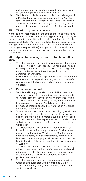malfunctioning or not operating, Worldline's liability is only to repair or replace the Electronic Terminal.

<span id="page-29-0"></span>(iii) Worldline is not liable for any loss, liability or damage which a Merchant may suffer or incur resulting from Worldline's failure to credit the Merchant Account due to technical or administrative difficulties relating to the banking system used for the transfer of funds to the Merchant Account.

#### **25. Third party bureau services**

Worldline is not responsible for the acts or omissions of any third party which provides services, including processing services, to the Merchant in connection with the Merchant Facilities. For the avoidance of doubt, Worldline is not liable for any losses, claims, damages, costs, terms or expenses suffered by the Merchant (including consequential loss) arising from or in connection with any act or failure to act by such third party in connection with a Transaction.

#### **26. Appointment of agent, subcontractor or other party**

- (i) The Merchant must not appoint any agent or subcontractor or a person in any other capacity ("an Appointee") to carry out the performance of any of the Merchant's obligations under the Agreement without the specific written agreement of Worldline.
- (ii) If Worldline agrees to the appointment of an Appointee the Merchant will be responsible for any act or omission of that Appointee as if the Merchant had performed such act or omission.

### **27. Promotional material**

- (i) Worldline will supply the Merchant with Nominated Card signs, decals and other promotional material as agreed in the Order Form or otherwise in writing from time to time.
- (ii) The Merchant must prominently display in the Merchant's Premises each Nominated Card decal and other promotional material supplied by Worldline or Worldline's authorised representative.
- (iii) Where the Merchant is authorised in writing by Worldline to accept Internet orders, the Merchant must display logos, signs or other promotional material supplied by Worldline or Worldline's authorised representative on the Merchant's website wherever payment options are presented to the Cardholder.
- (iv) The Merchant must not use any promotional material in relation to Worldline or any Nominated Card Scheme except as authorised by Worldline. The Merchant must not use the name, logo, any trademarks, brand names, business names or copyright belonging to Worldline or any Nominated Card Scheme without the prior written approval of Worldline.
- (v) The Merchant authorises Worldline to publish the name, address, telephone number, facsimile number and email address of the Merchant and to use any logo applicable to the Merchant in any correspondence, circular or publication of Worldline.
- (vi) The Merchant must only advertise goods and services which can be purchased with a Nominated Card in Australian currency or any other currency authorised in writing by Worldline.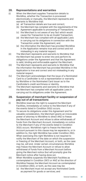# <span id="page-30-0"></span>**28. Representations and warranties**

- (i) When the Merchant supplies Transaction details to Worldline, whether the Transaction is processed electronically or manually, the Merchant represents and warrants to Worldline that:
	- (a) all Transaction details are true and correct;
	- (b) the Merchant has complied with the requirements of the Agreement applicable to processing of Transactions;
	- (c) the Merchant is not aware of any fact which would cause the Transaction to be an Invalid Transaction;
	- (d) the Merchant has complied with all applicable Laws in carrying out its obligations in connection with the Transaction under the Agreement; and
	- (e) the information the Merchant has provided Worldline in the Application remains true and correct and not misleading in any material respect.
- (ii) The Merchant represents and warrants to Worldline that the Merchant has power to enter into and perform its obligations under the Agreement and that the Agreement is valid, binding and enforceable against the Merchant.
- (iii) The Merchant represents and warrants to Worldline that the information the Merchant has provided Worldline in the Application is true and correct and not misleading in any material respect.
- (iv) The Merchant acknowledges that the issue of a Nominated Card to a Cardholder is not a representation or warranty by Worldline or the Nominated Card issuer as to the Cardholder's credit worthiness or identity.
- (v) The Merchant represents and warrants to Worldline that the Merchant has complied with all applicable Laws in carrying out its obligations under the Agreement.

#### **29. Suspension of merchant facility or suspension of pay out of all transactions**

- (i) Worldline reserves the right to suspend the Merchant Facilities, immediately on notice to the Merchant if any of the events listed in Condition 30(ii) occurs.
- (ii) To secure its obligations under this Agreement and for valuable consideration, the Merchant grants an irrevocable power of attorney to Worldline to direct ANZ to freeze the Merchant Account and refuse to allow withdrawals of funds from the Merchant Account, immediately on notice to the Merchant if any of the events listed in Condition 30(ii) occurs. Worldline's right to freeze the Merchant Account pursuant to this clause may be separate to, or in addition to, the right Worldline has under Condition 29(i). When exercising this right Worldline is not required to notify the Merchant of the date on which the suspension or freezing of the Merchant Account, or both, as the case may be, will end. Under certain circumstances Worldline may freeze the Merchant Account or refuse to allow withdrawal of funds from a Merchant Account before giving the Merchant notice (but will promptly give the Merchant notice after having done so).
- (iii) When Worldline suspends the Merchant Facilities as contemplated in Condition 29(1) or ANZ at the direction of Worldline freezes the Merchant Account as contemplated in Condition 29(ii), or both, as the case may be:
	- (a) the Merchant must not accept any Nominated Cards as payment for goods or services; and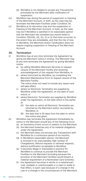- <span id="page-31-0"></span>(b) Worldline is not obliged to accept any Transactions processed by the Merchant after notification of suspension.
- (iv) Worldline may during the period of suspension or freezing of the Merchant Account, or both, as the case may be, terminate the Merchant Facilities under Condition 30.
- (v) Worldline at its discretion may end the suspension or freezing of the Merchant Account, or both, as the case may be if Worldline is satisfied in its reasonable opinion that the Merchant has remedied any events listed in Condition 30(ii)(b), (d), (h), (i) or (j) that have occurred, to the extent they are remediable, and that the risk of loss to Worldline, the Merchant and/or Cardholders does not require ongoing suspension or freezing of the Merchant Account.

#### **30. Termination**

- (i) Worldline may at any time terminate the Agreement by giving the Merchant notice in writing. The Merchant may at any time terminate the Agreement by giving Worldline notice:
	- a) by calling Worldline Merchant Services to request closure of the Merchant Facility and receiving acknowledgment of this request from Worldline; or
	- b) where instructed by Worldline, by completing the Merchant Maintenance Form to request closure of the Merchant Facility. The notice does not need to include any reason and will take effect:
	- c) where no Electronic Terminal(s) are supplied by Worldline under the Agreement, on the date of such notice; or
	- d) where Electronic Terminal(s) are supplied by Worldline under the Agreement, on the date which is the earlier of:
		- (A) the date on which all Electronic Terminal(s) are returned by the Merchant and/or recovered by Worldline; or
		- (B) the date that is 30 days from the date on which the notice was given.
- (ii) Worldline may terminate the Agreement immediately by notice to the Merchant should any of the following occur:
	- (a) an Insolvency Event occurs in relation to the Merchant;
	- (b) the Merchant breaches any of its material obligations under the Agreement;
	- (c) the Merchant does not process any Transactions with Worldline for a continuous period of six months;
	- (d) in Worldline's reasonable opinion, the Merchant is involved in an unacceptably high number of Chargebacks, Refund requests or retrieval requests, without justification acceptable to Worldline;
	- (e) it becomes illegal or impossible in practice for Worldline to continue to provide the Merchant Facilities to the Merchant (including because the provision of the Merchant Facilities would breach a material requirement of a Nominated Card Scheme);
	- (f) the Agreement becomes in whole or a material part void, voidable or unenforceable or a claim is made to that effect, in each case because of a change in the Law or a change in the circumstances of the Merchant;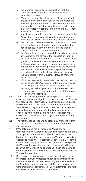- (g) the Merchant processes a Transaction that the Merchant knew, or ought to have known, was fraudulent or illegal;
- (h) Worldline reasonably determines that the continued provision of the Merchant Facilities to the Merchant may damage the reputation of Worldline or otherwise reasonably considers that Worldline or the Merchant may suffer loss if it continues to provide the Merchant Facilities to the Merchant;
- (i) any of the information provided by the Merchant in the Application or otherwise to Worldline is or becomes incorrect, or false or misleading in a material respect;
- (j) the Merchant's details and other information disclosed in the Application materially changes, including, but not limited to, a change to the nature and type of business conducted by the Merchant;
- (k) the Cardholder has not received the goods or services as required by the terms of the Transaction (and, in the case where the Merchant is not the provider of the goods or services and acts as agent for the provider of the goods or services, the goods or services have not been provided by the principal) and the Merchant has failed to provide Worldline with proof of receipt of, and satisfaction with, the goods or services by the Cardholder within 5 Business Days of Worldline's request to do so; or
- (l) Worldline reasonably determines that the Merchant is:
	- (A) using Worldline's products, software or services in an illegal, fraudulent or unlawful manner; or
	- (B) using Worldline's products, software or services to undertake or in connection with illegal, fraudulent or unlawful activities.
- (iii) Termination of the Agreement or any part of it does not affect any rights or obligations of the Merchant or Worldline that arose prior to termination. In particular, any obligation the Merchant has under the Agreement to indemnify Worldline or to pay Worldline any amounts (including costs), is a continuing and independent obligation and survives even if the Agreement is terminated. All Transactions made prior to termination are subject to the terms of the Agreement.
- (iv) The Merchant Facilities will be closed by Worldline within 30 days of the date on which the Merchant Agreement was terminated.
- (v) If Worldline receives a Transaction Voucher after termination of the Agreement, Worldline reserves the right, at its option, to return the Transaction Voucher to the Merchant or to retain the Transaction Voucher. If Worldline decides to retain the Transaction Voucher, the Merchant is not entitled to any payment for the Transaction in respect of the Transaction Voucher until such time as Worldline has received payment and no chargeback claim can be made by the issuer of the Nominated Card in connection with the Transaction Voucher.
- (vi) On giving or receiving a notice to terminate the Agreement, the Merchant must immediately arrange with Worldline for the recovery of all stationery (excluding stationery paid for by the Merchant), promotional material, Transaction Vouchers, Card Imprinters or equipment (including Electronic Terminals) supplied in connection with the Agreement.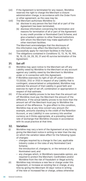- <span id="page-33-0"></span>(vii) If the Agreement is terminated for any reason, Worldline reserves the right to charge the Merchant a closure administration charge, in accordance with the Order Form or other agreement, as the case may be.
- (viii) The Merchant authorises Worldline to:
	- (a) disclose to any person the fact that all or part of the Agreement has been terminated;
	- (b) disclose information concerning the termination and reasons for termination of all or part of the Agreement to any credit provider or Nominated Card Scheme; and give a banker's opinion to other financial institutions with whom the Merchant may make application for other merchant facilities.

The Merchant acknowledges that the disclosure of this information may affect the Merchant's ability to successfully apply for merchant facilities in the future.

(ix) The obligations contained in Conditions 12, 13, 14, 16, 16A, 18, 19, 23, 24, 29, 30, 31 and 45 survive termination of the Agreement.

#### **31. Set off**

- (i) Worldline may upon notice to the Merchant set off any Liability owed by Worldline to the Merchant on any account against any Liability owed by the Merchant to Worldline under or in connection with this Agreement.
- (ii) If Worldline exercises its right of set off under Condition 13.2(ii)(b), 31(i) or 31(ii) in respect of any Liability that is contingent, unascertained or unliquidated, Worldline may estimate the amount of that Liability in good faith and exercise its right of set off, combination or appropriation in respect of that estimate.
- (iii) If the actual liability proves to be less than the amount set off Worldline must pay the Merchant the amount of the difference. If the actual liability proves to be more than the amount set off the Merchant must pay to Worldline the amount of the difference. To give effect to this condition, Worldline may at any time convert any amount (for example, amounts standing to the credit of the Retention Account, or any Liability) in one currency into another currency as it thinks appropriate, at a prevailing market rate of exchange that Worldline chooses in accordance with its usual practice at that time.

#### **32. Variation**

- (i) Worldline may vary a term of the Agreement at any time by giving the Merchant notice in writing no later than the day on which the variation takes effect for the following types of changes:
	- changes required by a change to the Law, applicable industry codes or the rules of any Nominated Card Scheme;
		- the introduction of, changes to, or the removal of, any Nominated card; and
	- any changes which, in Worldline's reasonable opinion, are required to protect the Merchant; Cardholders and/or Worldline from the risk of fraudulent or illegal activity.
- (ii) Worldline may introduce a new fee or charge under this Agreement, or increase an existing fee or charge, at any time by giving the Merchant 30 days' notice in writing of the new or increased fee or charge, unless otherwise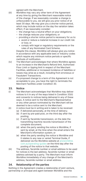agreed with the Merchant.

- <span id="page-34-0"></span>(iii) Worldline may vary any other term of the Agreement at any time by giving the Merchant reasonable notice of the change. If we reasonably consider a change is unfavourable to you, we will give you prior notice of at least 30 days. We may give you a shorter notice period, which may include notice on the day the variation takes effect, if we reasonably consider:
	- the change has a neutral effect on your obligations;
	- the change reduces your obligations; or
	- providing a shorter notice period is necessary for us to:
		- avoid or reduce a material increase in our credit risk or loss; or
		- comply with legal or regulatory requirements or the rules of any Nominated Card Scheme.

Despite this clause, Worldline will always give you notice in accordance with any applicable laws or industry codes which require any minimum notice periods or specific methods of notification.

- (iv) The Merchant acknowledges that where Worldline agrees to an increase in the Merchant's Refund limit, Authorised Floor Limit or tipping limit in respect of the Merchant Facilities, additional or increased incidence of liabilities or losses may arise as a result, including from erroneous or fraudulent Transactions.
- (v) If a proposed change to a term of this Agreement is not acceptable to you, you have the right to terminate the Merchant Facilities under Condition 30.

#### **33. Notice**

- (i) The Merchant acknowledges that Worldline may deliver notices to it in any of the ways listed in Condition 33(ii) and consents to notices being delivered in any of these ways. A notice sent to the Merchant's Representative or any other person nominated by the Merchant will be deemed to be a notice sent to the Merchant.
- (ii) A notice must be in writing and is taken to be received:
	- (a) if delivered personally, at the time of delivery;
		- (b) if sent by pre-paid post, on the third day after the posting;
		- (c) if sent by facsimile transmission, on the date the transmitting machine records transmission of the complete document;
		- (d) when the party sending the notice is Worldline, if sent by email, at the time when the email enters the Merchant's information system; or
		- (e) when the party sending the notice is Worldline and it relates to any new or varied Terminal Guide, if delivered via the Worldline website at [anzworldline.](http://www.anzworldline.com.au/operating-guides) [com.au/operating-guides](http://www.anzworldline.com.au/operating-guides) on the third day after the posting of the notice to that website.
- (iii) The address, facsimile number or email address to be used for notices is the last address, facsimile number or email address advised by a party. The Merchant must inform Worldline immediately of any change of the Merchant's address, facsimile number or email address.

#### **34. Relationship of the parties**

Nothing in the Agreement creates a relationship of joint venture, partnership or principal and agent between Worldline and the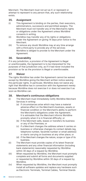<span id="page-35-0"></span>Merchant. The Merchant must not act as if, or represent or attempt to represent to any person that, any such relationship exists.

#### **35. Assignment**

- (i) This Agreement is binding on the parties, their executors, administrators, successors and permitted assigns. The Merchant must not transfer any of the Merchant's rights or obligations under the Agreement unless Worldline consents in writing.
- (ii) Worldline may transfer any of its rights or obligations under the Agreement on giving 14 days prior notice to the Merchant.
- (iii) To remove any doubt Worldline may at any time arrange with a third party to provide any of the services Worldline is obliged to provide to the Merchant under the Agreement.

#### **36. Severability**

If in any jurisdiction, a provision of the Agreement is illegal or unenforceable, the Agreement is to be interpreted for the purposes of that jurisdiction only, as if it had never included the provision so far as the provision is illegal or unenforceable.

#### **37. Waiver**

The rights Worldline has under the Agreement cannot be waived except by Worldline giving the Merchant written notice waiving the particular rights. In particular, Worldline does not waive any right that Worldline has in connection with the Agreement merely because Worldline does not exercise it or does not exercise it as soon as Worldline can.

# **38. Merchant's continuous obligations**

- (i) The Merchant must immediately notify Worldline Merchant Services in writing:
	- (a) if circumstances arise which may have a material adverse effect on the Merchant's business, assets or financial condition or the Merchant's ability to perform the Merchant's obligations under the Agreement. It is advisable that the Merchant informs Worldline promptly when it is in financial difficulty; or
	- (b) if the Merchant sells, leases or transfers its business or any of the Premises; or
	- (c) if a Merchant changes the address where it carries on business or otherwise changes its contact details (eg, telephone number, facsimile number or email address) or starts carrying on business at any other place; or
	- (d) if the Merchant changes the nature, scope or type of its business.
- (ii) The Merchant must provide copies of its latest financial statements and any other financial information (including bank statements) reasonably requested by Worldline within 30 days of a request by Worldline.
- (iii) When requested by Worldline, the Merchant must promptly complete and submit all forms and documents supplied or requested by Worldline within 30 days of a request by Worldline.
- (iv) When requested by Worldline, the Merchant must promptly install all software updates and replace any hardware such as Electronic Terminals, Terminal Cables, Terminal Stands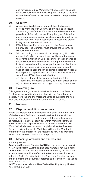<span id="page-36-0"></span>and Keys required by Worldline. If the Merchant does not do so, Worldline may stop allowing the Merchant to access or use the software or hardware required to be updated or replaced.

#### **39. Security**

- (i) At any time, Worldline may request that the Merchant provide Worldline with Security of a type, and to secure an amount, specified by Worldline and the Merchant must provide such Security. In specifying the type of Security and amount secured under this clause, Worldline will act in accordance with what is reasonably necessary to protect its legitimate commercial interests.
- (ii) If Worldline specifies a time by which the Security must be provided, the Merchant must provide the Security to Worldline by that time.
- (iii) Without limiting Conditions 13 (including 13.2), 31 or 39(i) above, if Worldline believes there is a likelihood of any of the events in Condition 30(ii) occurring, or such events do occur, Worldline may by notice in writing to the Merchant, in its absolute discretion, retain portions of the Merchant's settlement proceeds in a separate suspense account. Such suspense account can be either a Retention Account or a separate suspense account. Worldline may retain the Security until Worldline is satisfied that:
	- (a) the risk of any of the events in Condition 30(ii) occurring, or ceasing to occur, no longer exists; and/or
	- (b) no Transactions will be charged back by Cardholders.

# **40. Governing law**

This Agreement is governed by the Law in force in the State or Territory where Worldline's office shown in the Order Form is located. Worldline and the Merchant agree to submit to the nonexclusive jurisdiction of the courts of Victoria, Australia.

# **41. Not used**

# **42. Dispute resolution procedures**

Where the Merchant has a complaint in relation to the provision of the Merchant Facilities, it should speak with the Worldline Merchant Services in the first instance. If the complaint cannot be resolved promptly, a supervisor within Worldline Merchant Services will take responsibility for resolution of the complaint. Worldline's aim is to resolve any complaint within ten Business Days. If this is not possible, Worldline will keep the Merchant informed on the progress of the matter and how long Worldline expects it will take to resolve the complaint.

# **43. Meanings of words and expressions**

#### In the Agreement:

**Australian Business Number (ABN)** has the same meaning as in A New Tax System (Australian Business Number) Act 1999 (Cth). **"Agreement"** means the agreement constituted by the Merchant's acceptance of Worldline's offer on the terms and conditions set out in the Order Form (including the Customer Transfer Notices) and comprising the documents referred to in Condition 1, as varied from time to time.

**"ANZ"** means Australia and New Zealand Banking Group Limited ABN 11 005 357 522.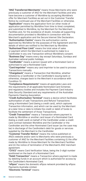**"ANZ Transferred Merchants"** means those Merchants who were previously a customer of ANZ for the Merchant Facilities and who have become a customer of Worldline by accepting Worldline's offer for Merchant Facilities as set out in the Customer Transfer Notice by continued use of the Merchant Facilities or otherwise. **"Application"** means the application form (or other mode of application permitted by Worldline from time to time) completed, and submitted to Worldline, by the Merchant for the Merchant Facilities and, for the avoidance of doubt, includes all supporting documentation provided to Worldline in connection with the Merchant's application and the Secure Internet Site Declaration.

**"Authorisation Centre"** means the authorisation centre approved by Worldline for the purposes of the Agreement and the details of which are notified to the Merchant by Worldline. **"Authorised Floor Limit"** means the total value of sales

or payment which the Merchant is authorised to make to a Cardholder in any one Transaction without Worldline's consent. **"Business Day"** means every day except Saturdays, Sundays and Australian national public holidays.

**"Cardholder"** means a person issued with a Nominated Card or authorised to use a Nominated Card.

**"Card Imprinter"** means any card imprinter to be used to process Transactions manually.

**"Chargeback"** means a Transaction that Worldline, whether initiated by a Cardholder or the Cardholder's issuing bank or otherwise, charges back to the Merchant in accordance with Condition 12.

**"Compliance Requirements"** means all applicable Laws and the requirements of all applicable Nominated Card Schemes and regulatory bodies and includes the Payment Card Industry Data Security Standard and any requirements of the Australian Payments Clearing Association.

**"Credit Authorisation Terminal"** means a device which facilitates authorisation of sale Transactions and Refund Transactions using a Nominated Card (being a credit card), which captures Transaction information, and which can be used by the Merchant at a later time or date to initiate the credit or debit of funds to facilitate the settlement of those Transactions.

**"Credit Transaction"** means a Transaction where payment is made by Worldline or another card issuer of a Nominated Card (being a credit card) on behalf of the Cardholder under a credit card contract between Worldline and the Cardholder or the Cardholder and the other Nominated Card issuer (as the case may be) in discharge of the Cardholder's debt for goods or services supplied by the Merchant to the Cardholder.

**"Customer Transfer Notice"** means the notice published on ANZ's website and/or sent to Merchants who were previously a customer of ANZ for the Merchant Facilities containing (i) the offer made by Worldline to those Merchant for the Merchant Facilities and (ii) the notice of termination of the Merchant's ANZ merchant agreement.

**"CVV2"** means Card Verification Value, being the 3-digit number positioned on the back of a Nominated Card.

**"Debit Transaction"** means a Transaction where payment is made by debiting funds in an account which is authorised for access by the Cardholder's Nominated Card.

**"eftpos"** means the domestic eftpos network provided by eftpos Payments Australia Limited.

**"Electronic Terminal"** means: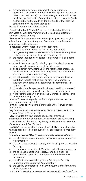- (a) any electronic device or equipment (including where applicable a portable electronic device or equipment (such as cables and peripherals) but not including an automatic telling machine), for processing Transactions using Nominated Cards and for initiating the credit or debit of funds to facilitate the settlement of those Transactions; or
- (b) any Credit Authorisation Terminal.

**"Eligible Merchant Products"** means those Merchant Facilities nominated by Worldline from time to time as being eligible for Merchant Choice Routing.

**"Guarantor"** means a person who has given, gives or is to give a Security and includes the person's executors, administrators, successors and transferees.

**"Insolvency Event"** means any of the following:

- (a) the Merchant has a receiver, receiver and manager, mortgagee in possession or voluntary administrator appointed to the Merchant or any of the Merchant's assets;
- (b) the Merchant becomes subject to any other form of external administration;
- (c) a resolution is passed for winding up of the Merchant or an order is made for winding up of the Merchant;
- (d) an application for winding up of the Merchant is presented, which relates to an amount of money owed by the Merchant which is not bona fide in dispute;
- (e) a credit provider, credit reporting agency or other financial institution reports that, in their opinion, the Merchant is insolvent and unable to meet its financial commitments as they fall due;
- (f) if the Merchant is a partnership, the partnership is dissolved or the Merchant resolves to dissolve the partnership; or
- (g) if the Merchant is an individual, the Merchant becomes, or is declared, bankrupt or dies.

**"Internet"** means the public on-line computer network of that name or any successor of it.

**"Invalid Transaction"** means a Transaction that is invalid under Condition 11.

**"Key"** means a key which unlocks an Electronic Terminal from a Terminal Stand or Terminal cable.

**"Law"** includes any law, statute, regulation, ordinance,

proclamation, by-law or statutory instrument or order, including codes of conduct issued by regulatory bodies or the requirements of any Nominated Card Scheme.

**"Liability"** means any debt or monetary liability or any other claim which is capable of being reduced to or expressed as a monetary liability.

**"Material Adverse Effect"** means a material adverse effect on:

- (a) the Merchant's ability to comply with its obligations under the Agreement; or
- (b) the Guarantor's ability to comply with its obligations under the Security; or
- (c) the rights and remedies of Worldline under the Agreement; or
- (d) the business, operation, property, condition (financial or otherwise), cashflows or prospects of the Merchant's business; or
- (e) the effectiveness or priority of any Security or Security Interest granted under the Agreement; or
- (f) the validity or enforceability of any document that forms part of the Agreement.

**"Merchant"** means the person named as Merchant in the Order Form.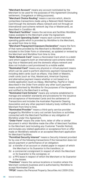**"Merchant Account"** means any account nominated by the Merchant to be used for the purposes of this Agreement (including settlement, Chargeback or billing purposes).

**"Merchant Choice Routing"** means a service which, directs contactless transactions made using a Relevant Multi-Network Card through the domestic eftpos network and not through an international card scheme network (eg Visa or Mastercard), as described in Condition 48.

**"Merchant Facilities"** means the services and facilities Worldline makes available to the Merchant under the Agreement.

**"Merchant Operating Guide"** means each current merchant operating guide which is provided by Worldline to the Merchant, as varied from time to time.

**"Merchant Prepayment Exposure Declaration"** means the form of that name provided by the Merchant to Worldline (whether included in the Order Form or otherwise), as updated or revised by the Merchant and Worldline from time to time.

**"Multi-Network Card"** means a Nominated Card which is a debit card which supports both an international card scheme network (eg Visa or Mastercard) and the domestic eftpos network and does not include a card provisioned to a mobile wallet.

**"Nominated Card"** means any physical or virtual payment means which can be used to perform electronic payment transactions including debit cards (such as eftpos, Visa Debit or Maestro, credit cards (such as Visa, Mastercard, American Express) and alternative payment means whether or not based on a mobile application (such as Alipay, WeChatPay, PayPal or Osko) described in the Order Form and/or any other such payment means authorised by Worldline for the purposes of the Agreement and notified to the Merchant in writing.

**"Nominated Card Scheme"** means any scheme established to manage and establish standards and procedures for the issuance and acceptance of Nominated Cards and the settlement of Transactions and includes the Australian Payments Clearing Association and any other payment industry body notified to the Merchant from time to time.

**"Nominated Provider"** means a third-party service provider engaged by Worldline to carry out certain functions or activities connected with the Merchant Facilities or any obligation of Worldline under this Agreement.

**"Order Form"** means the order form, letter of offer or similar document in which Worldline made the offer of Merchant Facilities to the Merchant (and including any Customer Transfer Notice), and includes any related application or acceptance form or offer made on Worldline's website or an accepted Merchant application for Merchant Facilities.

**"Permitted Security Interest"** means a Security Interest provided for by one of the following transactions if the transaction does not secure payment or performance of an obligation:

- (a) a transfer of an account or chattel paper in respect of which the Merchant or its Guarantor is the transferor; or
- (b) a commercial consignment in respect of which the Merchant or its Guarantor is the consignee; or
- (c) a PPS lease in respect of which the Merchant or its Guarantor is the lessee.

**"Premises"** means the various locations or location where the Merchant conducts business and is authorised by Worldline to accept Nominated Cards.

**"PPSA"** means the Personal Property Securities Act 2009 (Cth).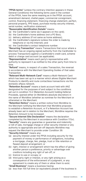**"PPSA terms"** (unless the contrary intention appears in these General Conditions) the following terms used in the context of the PPSA, have the same meaning as in the PPSA: account, amendment demand, chattel paper, commercial consignment, control, financing statement, financing change statement, perfect, personal property, PPS lease, purchase money security interest, .<br>serial number, verification statement.

**"Reasonable Identification Details"** means:

- (a) the Cardholder's name (as it appears on the card);
- (b) the Cardholder's home address (not a PO Box);
- (c) delivery address (if not same as home address);
- (d) the Cardholder's signature (unless the order is made by telephone or via the Internet); and

(e) the Cardholder's contact telephone number.

**"Recurring Transaction"** means Transactions that occur where a Merchant has an ongoing signed authority from the Cardholder to process Transactions against a Cardholder's credit card, scheme debit or charge card account (as applicable).

**"Representative"** means each party's representative with authority to represent it as notified to the other party from time to time.

**"Refund"** means, in respect of a sales Transaction, the reversal in accordance with the Merchant Operating Guides of that sales Transaction.

**"Relevant Multi-Network Card"** means a Multi-Network Card which has been set up in a manner which allows Eligible Merchant Products to identify and route contactless transactions via the domestic eftpos network.

**"Retention Account"** means a bank account held with ANZ designated for the purposes of and subject to the conditions set out in condition 13.2 (Retention Account) holding Deferral Proceeds, opened either (in Worldline's absolute discretion) in the name of Worldline (whether as nominee for the Merchant or otherwise) or the Merchant.

**"Retention Notice"** means a written notice from Worldline to the Merchant notifying the Merchant that Worldline proposes to establish a Retention Account, or if a Retention Account has already been set in relation to the Merchant, Worldline requires the Retention Amount to be increased.

**"Secure Internet Site Declaration"** means the declaration completed by the Merchant in accordance with Condition 17(iv). **"Security"** means any guarantee or guarantee and indemnity or bill of sale, mortgage charge or other security interest or any authority to appropriate and set-off deposits Worldline may request the Merchant to provide under Condition 39.

**"Security Interest"** means any:

- (a) security interest under the PPSA including security for the payment of money or performance of obligations, including a mortgage, charge, lien, pledge, trust or title retention or flawed deposit arrangement; or
- (b) right, interest or arrangement which has the effect of giving another person a preference, priority or advantage over creditors including any right of set-off; or
- (c) licence to use or occupy; or
- (d) third party right or interest, or any right arising as a consequence of the enforcement of a judgment, or any agreement to create any of them or allow them to exist.

**"Small Business"** means a business having:

(a) less than 100 full time (or equivalent) people if the business is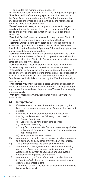or includes the manufacture of goods; or

<span id="page-41-0"></span>(b) in any other case, less than 20 full time (or equivalent) people. **"Special Condition"** means any special conditions set out in the Order Form or any variation to the Merchant Agreement or any condition otherwise agreed in writing by the Merchant and Worldline to be a special condition.

**"Taxes"** means all taxes, levies, imposts, duties and charges, including, but not limited to, stamp duty, financial institutions duty, goods and services tax, consumption tax, value added tax or similar tax.

**"Terminal Cables"** means a cable which may connect Electronic Terminals to a permanent fixture and includes the Key.

**"Terminal Guide"** means any operating information provided to a Merchant by Worldline or a Nominated Provider from time to time, including the Merchant Operating Guide and any operations manuals, guidelines or user guides.

**"Terminal Rental Fee"** means the amount specified in the Order Form as the terminal rental fee, which is payable in consideration for the provision of an Electronic Terminal, manual imprinter or any other equipment by Worldline.

**"Terminal Stands"** means a stand in which certain Electronic Terminals may be stored and locked and includes the Key.

**"Transaction"** includes a sales transaction (being the supply of goods or services or both), Refund transaction or cash transaction in which a Nominated Card or a Card number of a Nominated Card is used and which is processed by the Merchant manually or electronically.

**"Transaction Voucher"** includes a sales voucher or transaction record or Refund voucher or transaction record (as applicable) or any transaction record used in processing Transactions manually or electronically.

**"Worldline"** means [Payment Acceptance Australia Pty Ltd] ACN 645 073 034.

#### **44. Interpretation**

- (i) If the Merchant consists of more than one person, the liability of those persons under the Agreement is joint and several.
- (ii) If there is an inconsistency between the documents forming the Agreement the following order prevails:
	- (a) Special Conditions;
	- (b) Order Form, as varied from time to time;
	- (c) General Conditions;
	- (d) any Secure Internet Site Declaration (where applicable) or Merchant Prepayment Exposure Declaration (where applicable); and
	- (e) all applicable Terminal Guides.
- (iii) A reference to an individual or person includes a reference to a company and any other entity the Law recognises.
- (iv) The singular includes the plural and vice versa.
- (v) A reference to the Agreement or any document forming part of the Agreement, or any Law is a reference to the Agreement, document or Law as amended, novated, supplemented, replaced or reenacted.
- (vi) A reference to "you" is a reference to the Merchant and in Condition 14.3, if you are a corporation, includes your directors and shareholders.
- (vii) A reference to "mail" includes information sent or received by facsimile or email.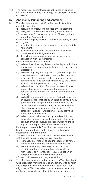<span id="page-42-0"></span>(viii) The meaning of general words is not limited by specific examples introduced by "including", "for example" or similar expressions.

#### **45. Anti money laundering and sanctions**

- (i) The Merchant agrees that Worldline may, in its sole and absolute discretion:
	- (a) delay, block or refuse to process any Transaction;
	- (b) delay, block or refuse to settle any Transaction; or
	- (c) refuse to perform any one or more of its obligations under this Agreement;

without incurring any liability, if Worldline suspects, for any reason, that:

- (d) an action it is required or requested to take under this Agreement;
- (e) its involvement in any Transaction that is any way connected with this Agreement; or
- (f) its performance of any service for any person in connection with this Agreement;

might in any way cause Worldline:

- (g) to breach any Law, regulation or other legal prohibition of any place or jurisdiction (including a foreign place or jurisdiction):
- (h) to deal in any way with any person (natural, corporate or governmental) that is sanctioned, or is connected in any way to any person that is sanctioned, under economic and trade sanctions imposed by the United Nations, the European Union or any country;
- (i) to breach any sanction of any kind imposed by any country (including any sanction that supports a decision or resolution of the United Nations Security Council);
- (j) to deal in any way with any person (natural, corporate or governmental) that has been listed or named by any government, or independent authority (such as the United Nations or the European Union), as a person who is in any way suspected of being involved (or potentially involved) in terrorism or in any activities connected with terrorism; or
- (k) to be involved (whether directly or indirectly) in any transaction which involves the proceeds of unlawful conduct or which involves proceeds which might be applied for the purposes of unlawful conduct.

For the purposes of this Condition, the circumstances listed in paragraphs (g) to (k) above are collectively described as **"unlawful acts".**

- (ii) The Merchant must provide all information to Worldline which Worldline reasonably requires in order:
	- (a) to manage anti-money laundering, counter- terrorism financing and economic and trade sanctions risk;
	- (b) to comply with any Laws, regulations, or other prohibitions that may be applicable to Worldline with respect any Transaction, requested action or obligation applicable to Worldline; and/or
	- (c) to avoid involvement in any unlawful act.
- (iii) The Merchant warrants and undertakes to Worldline that it will not request Worldline to take any action, or to perform any obligation, in connection with this Agreement that might cause Worldline to be involved in any unlawful act on the part of Worldline. Should the Merchant become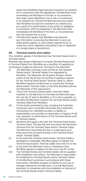<span id="page-43-0"></span>aware that Worldline might become involved in an unlawful act in connection with this Agreement, the Merchant must immediately tell Worldline of the fact or circumstance that might cause Worldline to be at risk or involvement in an unlawful act. Should the Merchant become aware that Worldline has become involved in an unlawful act, as a result of its performance of any action or obligation in connection with this Agreement, the Merchant must immediately tell Worldline of the facts or circumstances that has caused this to occur.

(iv) The Merchant agrees that Worldline may disclose any information concerning the Merchant to any Law enforcement agency or court where required to do so under any Law or regulation (including a Law or regulation of a foreign place or jurisdiction).

#### **46. Terminal stands and cables**

This condition applies if the Merchant has Terminal Stands and/ or Terminal Cables.

Worldline may require a Merchant to acquire Terminal Stands and/ or Terminal Cables from Worldline as a condition of supplying or continuing to supply an Electronic Terminal to the Merchant.

- (i) The Merchant must pay a one-off fee for the Terminal Stands and/or Terminal Cables if so requested by Worldline. The Merchant will be given 30 days' written notice of the fee (if any) at the time of making a request for the Terminal Stand and/or Terminal Cable or, where Worldline requires the Merchant to acquire the Terminal Stand and/or Terminal Cable, at the time Worldline informs the Merchant of this requirement.
- (ii) Title to the Terminal Stands and/or Terminal Cables transfers to the Merchant on the date the Merchant pays the one-fee (if any) to Worldline, or if no fee is payable, on the date the Merchant receives the Terminal Stands and/or Terminal Cable from Worldline.
- (iii) To the extent permitted by law, including the Australian Consumer Law or Australian Securities and Investment Commission Act, Worldline accepts no liability or responsibility, and provides no warranties, in respect of the use, operation or performance of the Terminal Stands and/ or Terminal Cables.
- (iv) Worldline will supply a Key with the Terminal Stand and/or Terminal Cable. The Key will lock and unlock the Electronic Terminal from the Terminal Stand and/or Terminal Cable. The Merchant must keep the Key in a safe place at all times and must not leave the Key in the Terminal Stand and/or Terminal Cable.
- (v) In the event the Terminal Stand and/or Terminal Cable is damaged or inoperable, Worldline agrees to replace the Terminal Stand and/or Terminal Cable once only for no fee.
- (vi) In the event the Merchant loses or misplaces a Key, Worldline agrees to replace the Key once only for no fee.
- (vii) The Terminal Stands and Terminal Cables will be supplied with installation instructions. The Merchant is responsible for installing the Terminal Stands and/or Terminal Cables in the Merchant's premises in accordance with these instructions. Worldline accepts no liability for any loss or damage suffered by the Merchant, or to the Merchant's premises, in connection with the installation or removal of the Terminal Stands and/or Terminal Cables.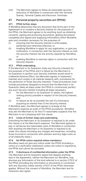<span id="page-44-0"></span>(viii) The Merchant agrees to follow all reasonable security directions of Worldline in connection with the Terminal Stands, Terminal Cables and Electronic Terminals.

# **47. Personal property securities act (PPSA)**

#### **47.1 PPSA further steps**

If Worldline determines that any document that forms part of the Agreement is or contains a Security Interest for the purposes of the PPSA, the Merchant agrees to do anything (such as obtaining consents, signing and producing documents, getting documents completed and signed and supplying information) which Worldline asks and considers necessary for the purposes of:

- (i) ensuring that the Security Interest is enforceable, perfected and otherwise effective; or
- (ii) enabling Worldline to apply for any registration, or give any notification, in connection with the Security Interest so that the security interest has the priority required by Worldline; or
- (iii) enabling Worldline to exercise rights in connection with the Security Interest.

#### **47.2 PPSA undertaking**

If the Merchant or its Guarantor holds any Security Interests for the purposes of the PPSA and if a failure by the Merchant or its Guarantor to perfect such Security Interests would result in a Material Adverse Effect, the Merchant agrees to implement, maintain and comply in all material respects with, procedures for the perfection of those Security Interests. These procedures must include procedures designed to ensure that the Merchant or its Guarantor takes all steps under the PPSA to continuously perfect any such Security Interest including all steps necessary:

- (i) for the Merchant or its Guarantor to obtain, the highest ranking priority possible in respect of the Security Interest; and
- (ii) to reduce as far as possible the risk of a third party acquiring an interest free of the Security Interest.

If Worldline asks, the Merchant agrees to arrange at the Merchant's expense an audit of the PPSA procedures. Worldline may ask the Merchant to do this if it reasonably suspects that the Merchant is not complying with this clause.

#### **47.3 Costs of further steps and undertaking**

Everything the Merchant or its Guarantor is required to do under this clause is at the Merchant's expense. The Merchant agrees to pay or reimburse the reasonable costs of Worldline in connection with anything the Merchant or its Guarantor is required to do under this clause (including any charges and expenses, including those incurred in connection with advisers and any legal costs on a full indemnity basis.)

#### **47.4 No PPSA notice required unless mandatory**

Worldline need not give any notice under the PPSA (including a notice of a verification statement) unless the notice is required by the PPSA and cannot be excluded.

# **47.5 5 disclosure of confidential information under the PPSA**

The Merchant and its Guarantor agree that despite anything else in the Agreement, neither the Merchant nor Worldline, may disclose any information of the kind referred to in section 275(1) of the PPSA (including any information or documents in connection with any Security) unless section 275(7) of the PPSA otherwise applies. Without the consent of Worldline, the Merchant and its Guarantor also agree: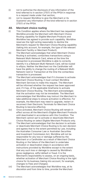- <span id="page-45-0"></span>(i) not to authorise the disclosure of any information of the kind referred to in section 275(1) of the PPSA in response to a request made under that section;
- (ii) not to request Worldline to give the Merchant or its Guarantor any information of the kind referred to in section 275(1) of the PPSA.

#### **48. Merchant choice routing**

- (i) This Condition applies where the Merchant has requested Worldline provide the Merchant with Merchant Choice Routing capability for Eligible Merchant Products and Worldline has agreed to provide such capability. Worldline reserves the right acting reasonably to decline the Merchant's request for Merchant Choice Routing capability (taking into account, for example, the type of the relevant Merchant Facility or Merchant Product).
- (ii) The Merchant acknowledges that when Merchant Choice Routing is activated, contactless transactions using a Relevant Multi-Network Card, where at the time the transaction is processed Worldline is able to correctly identify it is a Relevant Multi-Network Card, will be routed to eftpos. Neither the Merchant nor the Cardholder will have the ability to change the routing of a Relevant Multi-Network Card or Transaction at the time the contactless transaction is processed.
- (iii) The Merchant acknowledges that if it chooses to activate Merchant Choice Routing, it must contact Worldline Merchant Services to make this request. The Merchant will be informed whether the request has been approved and, if it has, of the applicable timeframe to activate Merchant Choice Routing. The Merchant acknowledges that the activation may not be immediate. The Merchant acknowledges that Worldline may instruct the Merchant to take additional steps to ensure activation is effective. For example, the Merchant may need to upgrade, restart or reconnect their Electronic Terminals for Merchant Choice Routing to become effective.
- (iv) Once activated, Merchant Choice Routing will remain in effect across all the Merchant's Eligible Merchant Products until deactivated in accordance with this Condition. The Merchant cannot opt to activate or deactivate Merchant Choice Routing on select Eligible Merchant Products only.
- (v) The Merchant acknowledges that the decision to activate or deactivate Merchant Choice Routing is its own decision and agrees that to the extent permitted by Law, including the Australian Consumer Law or Australian Securities and Investment Commission Act, Worldline will not be responsible for any loss or damage suffered by the Merchant or a Cardholder as a result of Merchant Choice Routing or the failure of the Merchant to undertake activation or deactivation steps in accordance with instructions provided by Worldline except to the extent that any such loss or damage is caused by Worldline's gross negligence, wilful default or fraud. It is the Merchant's responsibility to assess, on an ongoing basis, whether activation of Merchant Choice Routing is the right choice for its business (taking into account, for example, changes to Fees and Charges).
- (vi) The Merchant acknowledges that Worldline may, at its discretion and from time to time, provide the Merchant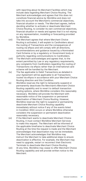with reporting about its Merchant Facilities which may include data regarding Merchant Choice Routing. The Merchant acknowledges and agrees that this does not constitute financial advice by Worldline and does not take into account the Merchant's commercial objectives, financial situation or needs. The Merchant agrees, before deciding whether to activate or deactivate Merchant Choice Routing, to consider its own commercial objectives, financial situation or needs and agrees that it is not relying on any representation, modelling or forecasting provided by Worldline.

- (vii) The Merchant agrees that where Merchant Choice Routing is activated, it will explain to Cardholders about the routing of Transactions and the consequences of routing via eftpos and will comply with all directions, recommendations and guidance issued by a Nominated Card Scheme or by a regulatory or Government body or authority regarding communications to Cardholders.
- (viii) The Merchant acknowledges and agrees that, to the extent permitted by Law or any regulatory requirements, any complaints from Cardholders regarding the routing of Transactions via eftpos rather than an international card scheme will be handled by the Merchant.
- (ix) The fee applicable to Debit Transactions as detailed in your Agreement will be applicable to all Transactions routed via eftpos in accordance with your Merchant Choice Routing direction and this Condition.
- (x) Worldline reserves the right to temporarily suspend or permanently deactivate the Merchant's Merchant Choice Routing capability and to revert to default transaction routing options, where Worldline considers this reasonably necessary. Worldline will provide the Merchant with reasonable notice of the suspension or permanent deactivation of Merchant Choice Routing. However, Worldline reserves the right to suspend or permanently deactivate Merchant Choice Routing capability immediately without notice if any of the events listed in Condition 30(ii) occurs or where Worldline otherwise considers the suspension or permanent deactivation reasonably necessary.
- (xi) If the Merchant wants to deactivate Merchant Choice Routing, it must contact Worldline Merchant Services to make this request. The Merchant will be informed of the applicable timeframe to deactivate Merchant Choice Routing at the time the request is made and the Merchant acknowledges that deactivation may not be immediate. The Merchant acknowledges that Worldline may instruct the Merchant to take additional steps to ensure deactivation is effective. For example, the Merchant may need to upgrade, restart or reconnect their Electronic Terminals to deactivate Merchant Choice Routing.
- (xii) At any time, Worldline may cease to offer Merchant Choice Routing capability and will provide written notice to the Merchant.